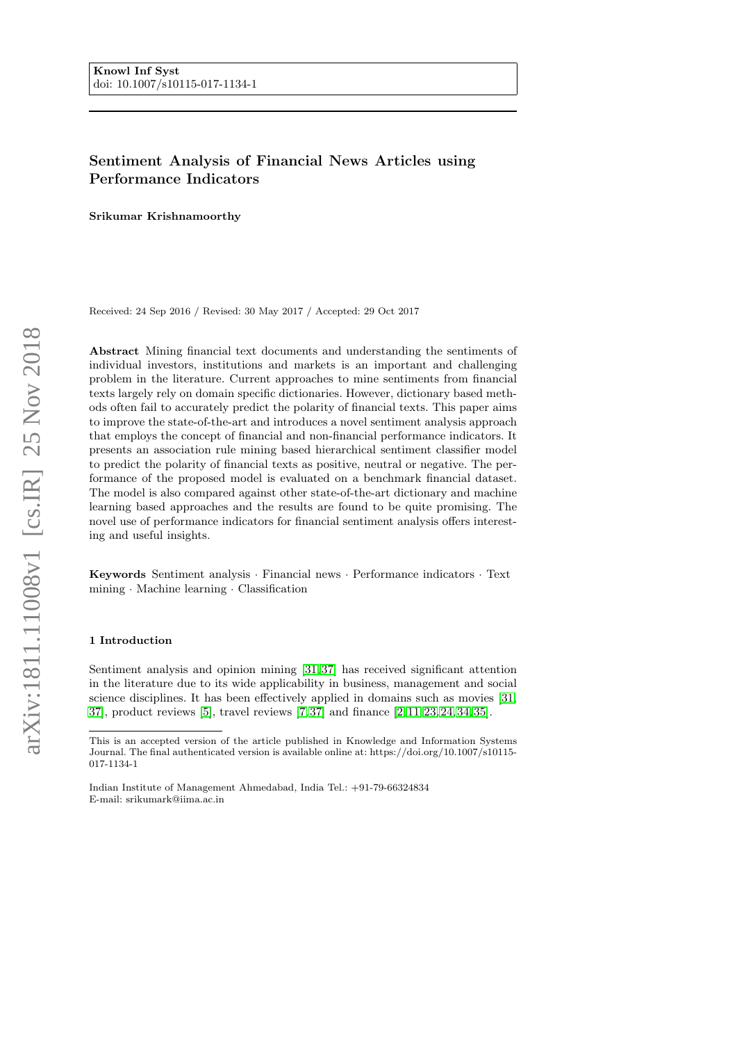# Sentiment Analysis of Financial News Articles using Performance Indicators

Srikumar Krishnamoorthy

Received: 24 Sep 2016 / Revised: 30 May 2017 / Accepted: 29 Oct 2017

Abstract Mining financial text documents and understanding the sentiments of individual investors, institutions and markets is an important and challenging problem in the literature. Current approaches to mine sentiments from financial texts largely rely on domain specific dictionaries. However, dictionary based methods often fail to accurately predict the polarity of financial texts. This paper aims to improve the state-of-the-art and introduces a novel sentiment analysis approach that employs the concept of financial and non-financial performance indicators. It presents an association rule mining based hierarchical sentiment classifier model to predict the polarity of financial texts as positive, neutral or negative. The performance of the proposed model is evaluated on a benchmark financial dataset. The model is also compared against other state-of-the-art dictionary and machine learning based approaches and the results are found to be quite promising. The novel use of performance indicators for financial sentiment analysis offers interesting and useful insights.

Keywords Sentiment analysis · Financial news · Performance indicators · Text mining · Machine learning · Classification

#### 1 Introduction

Sentiment analysis and opinion mining [\[31,](#page-20-0)37] has received significant attention in the literature due to its wide applicability in business, management and social science disciplines. It has been effectively applied in domains such as movies [\[31,](#page-20-0) [37\]](#page-20-1), product reviews [\[5\]](#page-18-0), travel reviews [\[7,](#page-19-0)[37\]](#page-20-1) and finance [\[2,](#page-18-1) [11,](#page-19-1) [23,](#page-19-2)[24,](#page-19-3) [34,](#page-20-2) [35\]](#page-20-3).

This is an accepted version of the article published in Knowledge and Information Systems Journal. The final authenticated version is available online at: https://doi.org/10.1007/s10115- 017-1134-1

Indian Institute of Management Ahmedabad, India Tel.: +91-79-66324834 E-mail: srikumark@iima.ac.in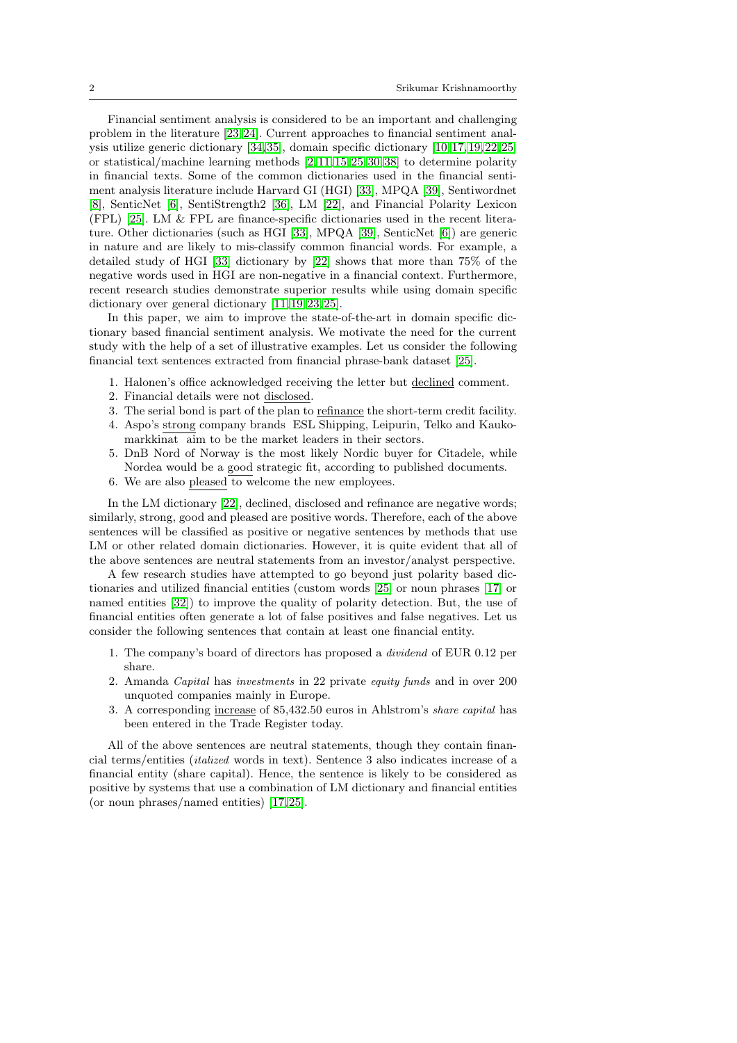Financial sentiment analysis is considered to be an important and challenging problem in the literature [\[23,](#page-19-2)[24\]](#page-19-3). Current approaches to financial sentiment analysis utilize generic dictionary [\[34,](#page-20-2) [35\]](#page-20-3), domain specific dictionary [\[10,](#page-19-4) [17,](#page-19-5) [19,](#page-19-6) [22,](#page-19-7)[25\]](#page-19-8) or statistical/machine learning methods  $[2, 11, 15, 25, 30, 38]$  $[2, 11, 15, 25, 30, 38]$  $[2, 11, 15, 25, 30, 38]$  $[2, 11, 15, 25, 30, 38]$  $[2, 11, 15, 25, 30, 38]$  $[2, 11, 15, 25, 30, 38]$  $[2, 11, 15, 25, 30, 38]$  to determine polarity in financial texts. Some of the common dictionaries used in the financial sentiment analysis literature include Harvard GI (HGI) [\[33\]](#page-20-5), MPQA [\[39\]](#page-20-6), Sentiwordnet [\[8\]](#page-19-11), SenticNet [\[6\]](#page-18-2), SentiStrength2 [\[36\]](#page-20-7), LM [\[22\]](#page-19-7), and Financial Polarity Lexicon (FPL) [\[25\]](#page-19-8). LM & FPL are finance-specific dictionaries used in the recent literature. Other dictionaries (such as HGI [\[33\]](#page-20-5), MPQA [\[39\]](#page-20-6), SenticNet [\[6\]](#page-18-2)) are generic in nature and are likely to mis-classify common financial words. For example, a detailed study of HGI [\[33\]](#page-20-5) dictionary by [\[22\]](#page-19-7) shows that more than 75% of the negative words used in HGI are non-negative in a financial context. Furthermore, recent research studies demonstrate superior results while using domain specific dictionary over general dictionary [\[11,](#page-19-1) [19,](#page-19-6) [23,](#page-19-2) [25\]](#page-19-8).

In this paper, we aim to improve the state-of-the-art in domain specific dictionary based financial sentiment analysis. We motivate the need for the current study with the help of a set of illustrative examples. Let us consider the following financial text sentences extracted from financial phrase-bank dataset [\[25\]](#page-19-8).

- 1. Halonen's office acknowledged receiving the letter but declined comment.
- 2. Financial details were not disclosed.
- 3. The serial bond is part of the plan to refinance the short-term credit facility.
- 4. Aspo's strong company brands ESL Shipping, Leipurin, Telko and Kaukomarkkinat aim to be the market leaders in their sectors.
- 5. DnB Nord of Norway is the most likely Nordic buyer for Citadele, while Nordea would be a good strategic fit, according to published documents.
- 6. We are also pleased to welcome the new employees.

In the LM dictionary [\[22\]](#page-19-7), declined, disclosed and refinance are negative words; similarly, strong, good and pleased are positive words. Therefore, each of the above sentences will be classified as positive or negative sentences by methods that use LM or other related domain dictionaries. However, it is quite evident that all of the above sentences are neutral statements from an investor/analyst perspective.

A few research studies have attempted to go beyond just polarity based dictionaries and utilized financial entities (custom words [\[25\]](#page-19-8) or noun phrases [\[17\]](#page-19-5) or named entities [\[32\]](#page-20-8)) to improve the quality of polarity detection. But, the use of financial entities often generate a lot of false positives and false negatives. Let us consider the following sentences that contain at least one financial entity.

- 1. The company's board of directors has proposed a dividend of EUR 0.12 per share.
- 2. Amanda Capital has investments in 22 private equity funds and in over 200 unquoted companies mainly in Europe.
- 3. A corresponding increase of 85,432.50 euros in Ahlstrom's share capital has been entered in the Trade Register today.

All of the above sentences are neutral statements, though they contain financial terms/entities (italized words in text). Sentence 3 also indicates increase of a financial entity (share capital). Hence, the sentence is likely to be considered as positive by systems that use a combination of LM dictionary and financial entities (or noun phrases/named entities) [\[17,](#page-19-5) [25\]](#page-19-8).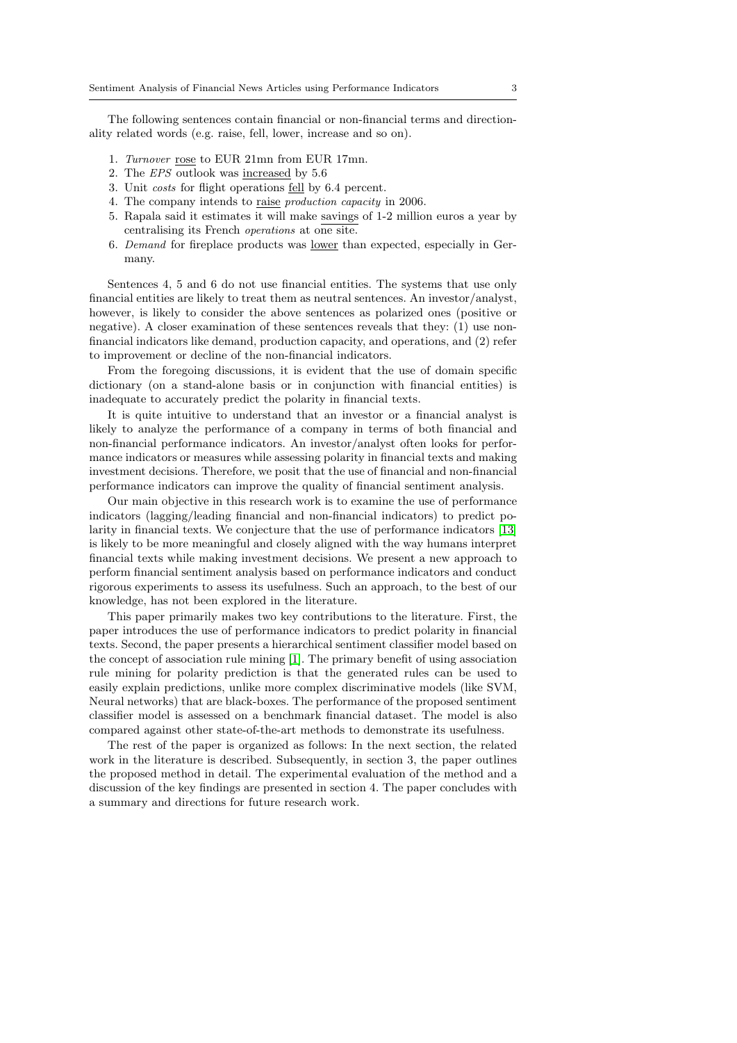The following sentences contain financial or non-financial terms and directionality related words (e.g. raise, fell, lower, increase and so on).

- 1. Turnover rose to EUR 21mn from EUR 17mn.
- 2. The EPS outlook was increased by 5.6
- 3. Unit costs for flight operations fell by 6.4 percent.
- 4. The company intends to raise production capacity in 2006.
- 5. Rapala said it estimates it will make savings of 1-2 million euros a year by centralising its French operations at one site.
- 6. Demand for fireplace products was lower than expected, especially in Germany.

Sentences 4, 5 and 6 do not use financial entities. The systems that use only financial entities are likely to treat them as neutral sentences. An investor/analyst, however, is likely to consider the above sentences as polarized ones (positive or negative). A closer examination of these sentences reveals that they: (1) use nonfinancial indicators like demand, production capacity, and operations, and (2) refer to improvement or decline of the non-financial indicators.

From the foregoing discussions, it is evident that the use of domain specific dictionary (on a stand-alone basis or in conjunction with financial entities) is inadequate to accurately predict the polarity in financial texts.

It is quite intuitive to understand that an investor or a financial analyst is likely to analyze the performance of a company in terms of both financial and non-financial performance indicators. An investor/analyst often looks for performance indicators or measures while assessing polarity in financial texts and making investment decisions. Therefore, we posit that the use of financial and non-financial performance indicators can improve the quality of financial sentiment analysis.

Our main objective in this research work is to examine the use of performance indicators (lagging/leading financial and non-financial indicators) to predict polarity in financial texts. We conjecture that the use of performance indicators [\[13\]](#page-19-12) is likely to be more meaningful and closely aligned with the way humans interpret financial texts while making investment decisions. We present a new approach to perform financial sentiment analysis based on performance indicators and conduct rigorous experiments to assess its usefulness. Such an approach, to the best of our knowledge, has not been explored in the literature.

This paper primarily makes two key contributions to the literature. First, the paper introduces the use of performance indicators to predict polarity in financial texts. Second, the paper presents a hierarchical sentiment classifier model based on the concept of association rule mining [\[1\]](#page-18-3). The primary benefit of using association rule mining for polarity prediction is that the generated rules can be used to easily explain predictions, unlike more complex discriminative models (like SVM, Neural networks) that are black-boxes. The performance of the proposed sentiment classifier model is assessed on a benchmark financial dataset. The model is also compared against other state-of-the-art methods to demonstrate its usefulness.

The rest of the paper is organized as follows: In the next section, the related work in the literature is described. Subsequently, in section 3, the paper outlines the proposed method in detail. The experimental evaluation of the method and a discussion of the key findings are presented in section 4. The paper concludes with a summary and directions for future research work.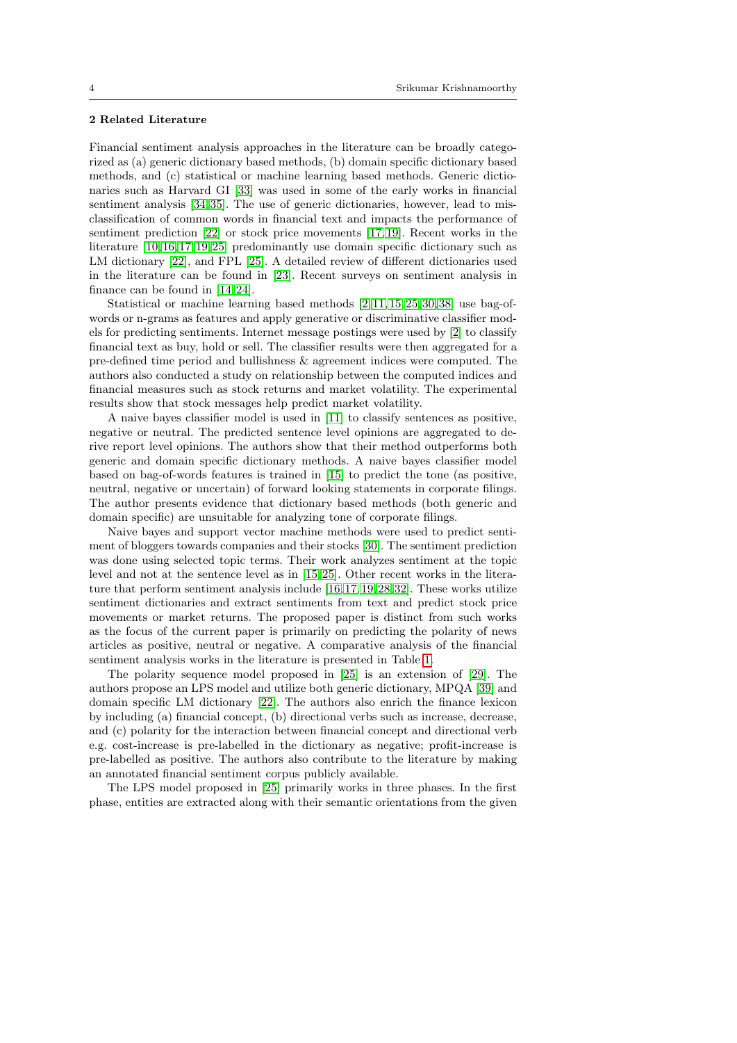#### 2 Related Literature

Financial sentiment analysis approaches in the literature can be broadly categorized as (a) generic dictionary based methods, (b) domain specific dictionary based methods, and (c) statistical or machine learning based methods. Generic dictionaries such as Harvard GI [\[33\]](#page-20-5) was used in some of the early works in financial sentiment analysis [\[34,](#page-20-2) [35\]](#page-20-3). The use of generic dictionaries, however, lead to misclassification of common words in financial text and impacts the performance of sentiment prediction [\[22\]](#page-19-7) or stock price movements [\[17,](#page-19-5) [19\]](#page-19-6). Recent works in the literature [\[10,](#page-19-4) [16,](#page-19-13) [17,](#page-19-5) [19,](#page-19-6)[25\]](#page-19-8) predominantly use domain specific dictionary such as LM dictionary [\[22\]](#page-19-7), and FPL [\[25\]](#page-19-8). A detailed review of different dictionaries used in the literature can be found in [\[23\]](#page-19-2). Recent surveys on sentiment analysis in finance can be found in [\[14,](#page-19-14) [24\]](#page-19-3).

Statistical or machine learning based methods [\[2,](#page-18-1) [11,](#page-19-1) [15,](#page-19-9) [25,](#page-19-8)[30,](#page-19-10) [38\]](#page-20-4) use bag-ofwords or n-grams as features and apply generative or discriminative classifier models for predicting sentiments. Internet message postings were used by [\[2\]](#page-18-1) to classify financial text as buy, hold or sell. The classifier results were then aggregated for a pre-defined time period and bullishness & agreement indices were computed. The authors also conducted a study on relationship between the computed indices and financial measures such as stock returns and market volatility. The experimental results show that stock messages help predict market volatility.

A naive bayes classifier model is used in [\[11\]](#page-19-1) to classify sentences as positive, negative or neutral. The predicted sentence level opinions are aggregated to derive report level opinions. The authors show that their method outperforms both generic and domain specific dictionary methods. A naive bayes classifier model based on bag-of-words features is trained in [\[15\]](#page-19-9) to predict the tone (as positive, neutral, negative or uncertain) of forward looking statements in corporate filings. The author presents evidence that dictionary based methods (both generic and domain specific) are unsuitable for analyzing tone of corporate filings.

Naive bayes and support vector machine methods were used to predict sentiment of bloggers towards companies and their stocks [\[30\]](#page-19-10). The sentiment prediction was done using selected topic terms. Their work analyzes sentiment at the topic level and not at the sentence level as in [\[15,](#page-19-9) [25\]](#page-19-8). Other recent works in the literature that perform sentiment analysis include [\[16,](#page-19-13) [17,](#page-19-5) [19,](#page-19-6)[28,](#page-19-15) [32\]](#page-20-8). These works utilize sentiment dictionaries and extract sentiments from text and predict stock price movements or market returns. The proposed paper is distinct from such works as the focus of the current paper is primarily on predicting the polarity of news articles as positive, neutral or negative. A comparative analysis of the financial sentiment analysis works in the literature is presented in Table [1.](#page-4-0)

The polarity sequence model proposed in [\[25\]](#page-19-8) is an extension of [\[29\]](#page-19-16). The authors propose an LPS model and utilize both generic dictionary, MPQA [\[39\]](#page-20-6) and domain specific LM dictionary [\[22\]](#page-19-7). The authors also enrich the finance lexicon by including (a) financial concept, (b) directional verbs such as increase, decrease, and (c) polarity for the interaction between financial concept and directional verb e.g. cost-increase is pre-labelled in the dictionary as negative; profit-increase is pre-labelled as positive. The authors also contribute to the literature by making an annotated financial sentiment corpus publicly available.

The LPS model proposed in [\[25\]](#page-19-8) primarily works in three phases. In the first phase, entities are extracted along with their semantic orientations from the given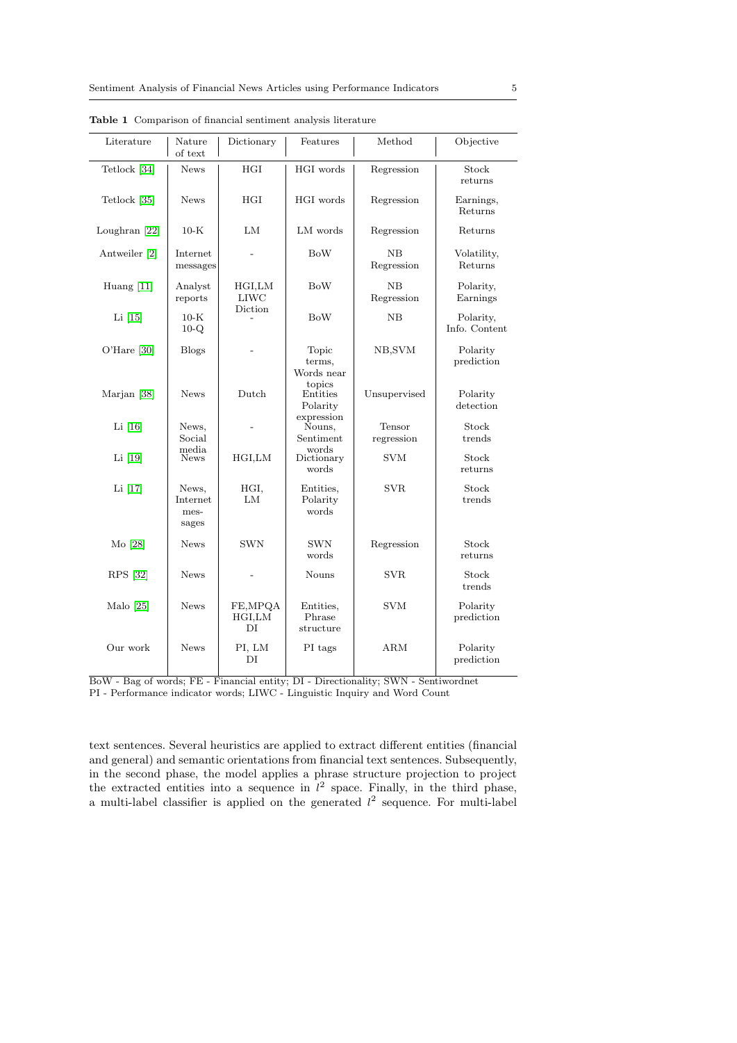| Literature       | Nature<br>of text                  | Dictionary                       | Features                          | Method                  | Objective                  |
|------------------|------------------------------------|----------------------------------|-----------------------------------|-------------------------|----------------------------|
| Tetlock [34]     | <b>News</b>                        | HGI                              | HGI words                         | Regression              | Stock<br>returns           |
| Tetlock [35]     | <b>News</b>                        | HGI                              | HGI words                         | Regression              | Earnings,<br>Returns       |
| Loughran $[22]$  | $10-K$                             | LM                               | LM words                          | Regression              | Returns                    |
| Antweiler [2]    | Internet<br>messages               |                                  | BoW                               | <b>NB</b><br>Regression | Volatility,<br>Returns     |
| Huang $[11]$     | Analyst<br>reports                 | HGI.LM<br><b>LIWC</b><br>Diction | <b>BoW</b>                        | NB<br>Regression        | Polarity,<br>Earnings      |
| Li $[15]$        | $10-K$<br>$10-Q$                   |                                  | <b>BoW</b>                        | NB                      | Polarity,<br>Info. Content |
| $O'$ Hare [30]   | <b>Blogs</b>                       |                                  | Topic<br>terms,<br>Words near     | NB, SVM                 | Polarity<br>prediction     |
| Marjan [38]      | <b>News</b>                        | Dutch                            | topics<br>Entities<br>Polarity    | Unsupervised            | Polarity<br>detection      |
| Li $[16]$        | News,<br>Social                    |                                  | expression<br>Nouns,<br>Sentiment | Tensor<br>regression    | Stock<br>trends            |
| Li $[19]$        | media.<br><b>News</b>              | HGI,LM                           | words<br>Dictionary<br>words      | <b>SVM</b>              | Stock<br>returns           |
| Li $[17]$        | News,<br>Internet<br>mes-<br>sages | HGI,<br>LM                       | Entities,<br>Polarity<br>words    | <b>SVR</b>              | Stock<br>trends            |
| $\text{Mo}$ [28] | <b>News</b>                        | <b>SWN</b>                       | <b>SWN</b><br>words               | Regression              | Stock<br>returns           |
| RPS [32]         | <b>News</b>                        |                                  | Nouns                             | SVR.                    | Stock<br>trends            |
| Malo $[25]$      | <b>News</b>                        | FE,MPQA<br>HGI,LM<br>DI          | Entities,<br>Phrase<br>structure  | <b>SVM</b>              | Polarity<br>prediction     |
| Our work         | <b>News</b>                        | PI, LM<br>DI                     | PI tags                           | <b>ARM</b>              | Polarity<br>prediction     |

<span id="page-4-0"></span>Table 1 Comparison of financial sentiment analysis literature

BoW - Bag of words; FE - Financial entity; DI - Directionality; SWN - Sentiwordnet PI - Performance indicator words; LIWC - Linguistic Inquiry and Word Count

text sentences. Several heuristics are applied to extract different entities (financial and general) and semantic orientations from financial text sentences. Subsequently, in the second phase, the model applies a phrase structure projection to project the extracted entities into a sequence in  $l^2$  space. Finally, in the third phase, a multi-label classifier is applied on the generated  $l^2$  sequence. For multi-label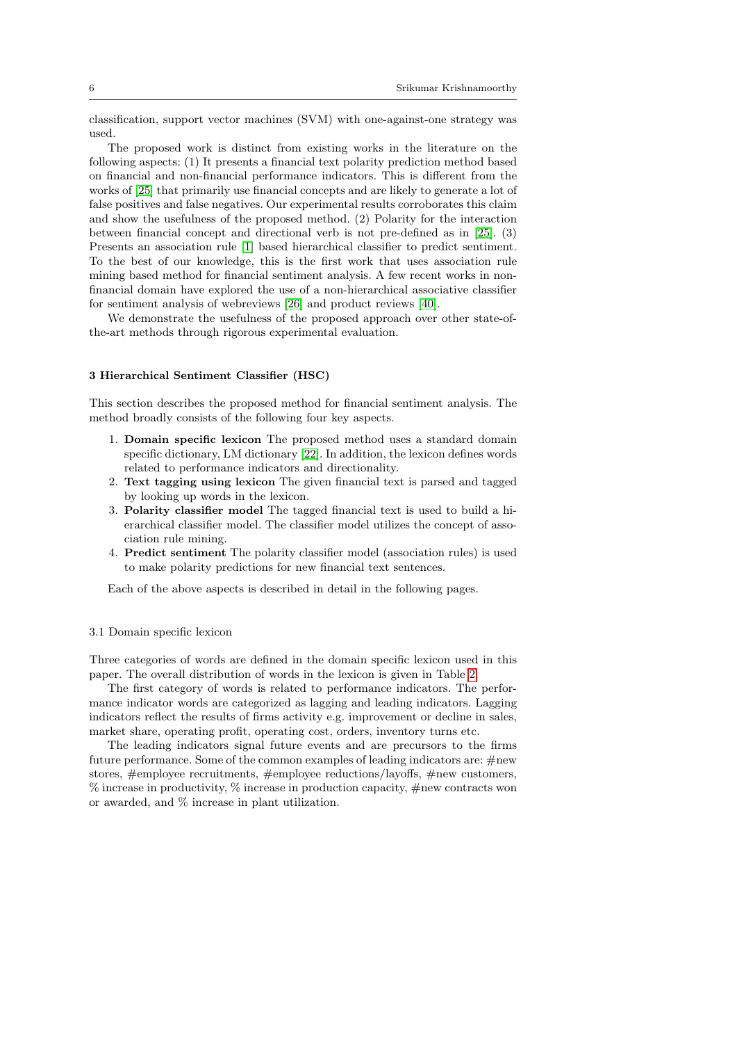classification, support vector machines (SVM) with one-against-one strategy was used.

The proposed work is distinct from existing works in the literature on the following aspects: (1) It presents a financial text polarity prediction method based on financial and non-financial performance indicators. This is different from the works of [\[25\]](#page-19-8) that primarily use financial concepts and are likely to generate a lot of false positives and false negatives. Our experimental results corroborates this claim and show the usefulness of the proposed method. (2) Polarity for the interaction between financial concept and directional verb is not pre-defined as in [\[25\]](#page-19-8). (3) Presents an association rule [\[1\]](#page-18-3) based hierarchical classifier to predict sentiment. To the best of our knowledge, this is the first work that uses association rule mining based method for financial sentiment analysis. A few recent works in nonfinancial domain have explored the use of a non-hierarchical associative classifier for sentiment analysis of webreviews [\[26\]](#page-19-17) and product reviews [\[40\]](#page-20-9).

We demonstrate the usefulness of the proposed approach over other state-ofthe-art methods through rigorous experimental evaluation.

#### 3 Hierarchical Sentiment Classifier (HSC)

This section describes the proposed method for financial sentiment analysis. The method broadly consists of the following four key aspects.

- 1. Domain specific lexicon The proposed method uses a standard domain specific dictionary, LM dictionary [\[22\]](#page-19-7). In addition, the lexicon defines words related to performance indicators and directionality.
- 2. Text tagging using lexicon The given financial text is parsed and tagged by looking up words in the lexicon.
- 3. Polarity classifier model The tagged financial text is used to build a hierarchical classifier model. The classifier model utilizes the concept of association rule mining.
- 4. Predict sentiment The polarity classifier model (association rules) is used to make polarity predictions for new financial text sentences.

Each of the above aspects is described in detail in the following pages.

## 3.1 Domain specific lexicon

Three categories of words are defined in the domain specific lexicon used in this paper. The overall distribution of words in the lexicon is given in Table [2.](#page-6-0)

The first category of words is related to performance indicators. The performance indicator words are categorized as lagging and leading indicators. Lagging indicators reflect the results of firms activity e.g. improvement or decline in sales, market share, operating profit, operating cost, orders, inventory turns etc.

The leading indicators signal future events and are precursors to the firms future performance. Some of the common examples of leading indicators are: #new stores, #employee recruitments, #employee reductions/layoffs, #new customers, % increase in productivity, % increase in production capacity, #new contracts won or awarded, and % increase in plant utilization.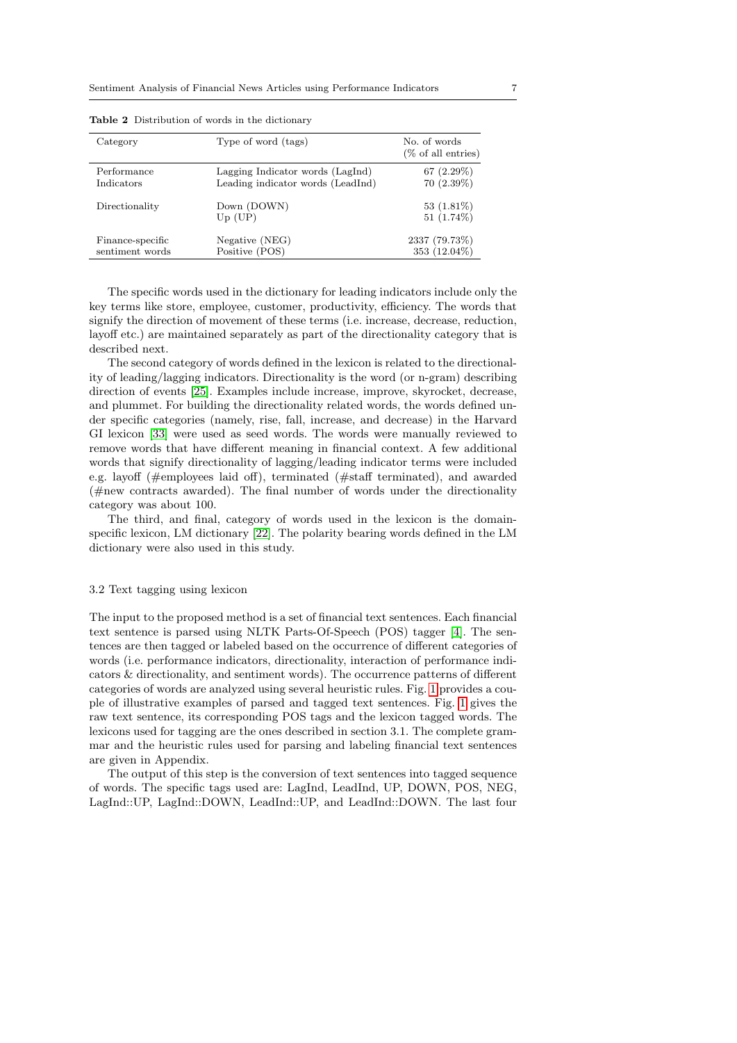| Category         | Type of word (tags)               | No. of words<br>$(\%$ of all entries) |
|------------------|-----------------------------------|---------------------------------------|
| Performance      | Lagging Indicator words (LagInd)  | 67 $(2.29\%)$                         |
| Indicators       | Leading indicator words (LeadInd) | 70 (2.39%)                            |
| Directionality   | Down (DOWN)<br>$Up$ $(UP)$        | 53 $(1.81\%)$<br>51 $(1.74\%)$        |
| Finance-specific | Negative (NEG)                    | 2337 (79.73%)                         |
| sentiment words  | Positive (POS)                    | 353 (12.04%)                          |

<span id="page-6-0"></span>Table 2 Distribution of words in the dictionary

The specific words used in the dictionary for leading indicators include only the key terms like store, employee, customer, productivity, efficiency. The words that signify the direction of movement of these terms (i.e. increase, decrease, reduction, layoff etc.) are maintained separately as part of the directionality category that is described next.

The second category of words defined in the lexicon is related to the directionality of leading/lagging indicators. Directionality is the word (or n-gram) describing direction of events [\[25\]](#page-19-8). Examples include increase, improve, skyrocket, decrease, and plummet. For building the directionality related words, the words defined under specific categories (namely, rise, fall, increase, and decrease) in the Harvard GI lexicon [\[33\]](#page-20-5) were used as seed words. The words were manually reviewed to remove words that have different meaning in financial context. A few additional words that signify directionality of lagging/leading indicator terms were included e.g. layoff (#employees laid off), terminated (#staff terminated), and awarded (#new contracts awarded). The final number of words under the directionality category was about 100.

The third, and final, category of words used in the lexicon is the domainspecific lexicon, LM dictionary [\[22\]](#page-19-7). The polarity bearing words defined in the LM dictionary were also used in this study.

#### 3.2 Text tagging using lexicon

The input to the proposed method is a set of financial text sentences. Each financial text sentence is parsed using NLTK Parts-Of-Speech (POS) tagger [\[4\]](#page-18-4). The sentences are then tagged or labeled based on the occurrence of different categories of words (i.e. performance indicators, directionality, interaction of performance indicators & directionality, and sentiment words). The occurrence patterns of different categories of words are analyzed using several heuristic rules. Fig. [1](#page-7-0) provides a couple of illustrative examples of parsed and tagged text sentences. Fig. [1](#page-7-0) gives the raw text sentence, its corresponding POS tags and the lexicon tagged words. The lexicons used for tagging are the ones described in section 3.1. The complete grammar and the heuristic rules used for parsing and labeling financial text sentences are given in Appendix.

The output of this step is the conversion of text sentences into tagged sequence of words. The specific tags used are: LagInd, LeadInd, UP, DOWN, POS, NEG, LagInd::UP, LagInd::DOWN, LeadInd::UP, and LeadInd::DOWN. The last four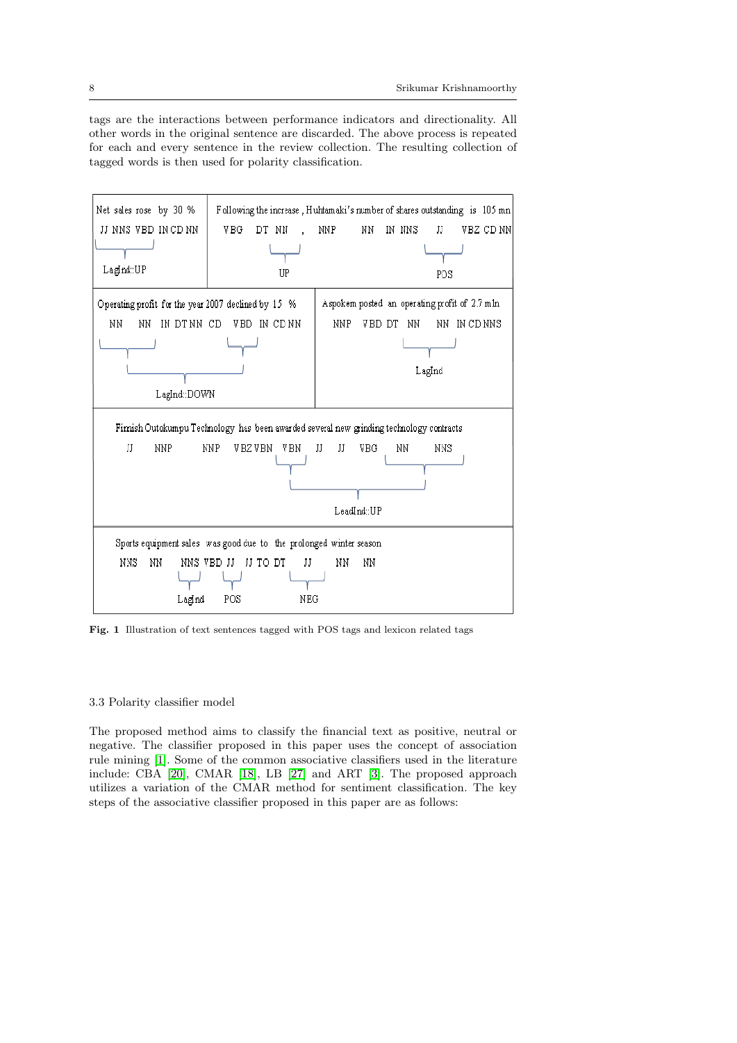tags are the interactions between performance indicators and directionality. All other words in the original sentence are discarded. The above process is repeated for each and every sentence in the review collection. The resulting collection of tagged words is then used for polarity classification.



<span id="page-7-0"></span>Fig. 1 Illustration of text sentences tagged with POS tags and lexicon related tags

#### 3.3 Polarity classifier model

The proposed method aims to classify the financial text as positive, neutral or negative. The classifier proposed in this paper uses the concept of association rule mining [\[1\]](#page-18-3). Some of the common associative classifiers used in the literature include: CBA [\[20\]](#page-19-18), CMAR [\[18\]](#page-19-19), LB [\[27\]](#page-19-20) and ART [\[3\]](#page-18-5). The proposed approach utilizes a variation of the CMAR method for sentiment classification. The key steps of the associative classifier proposed in this paper are as follows: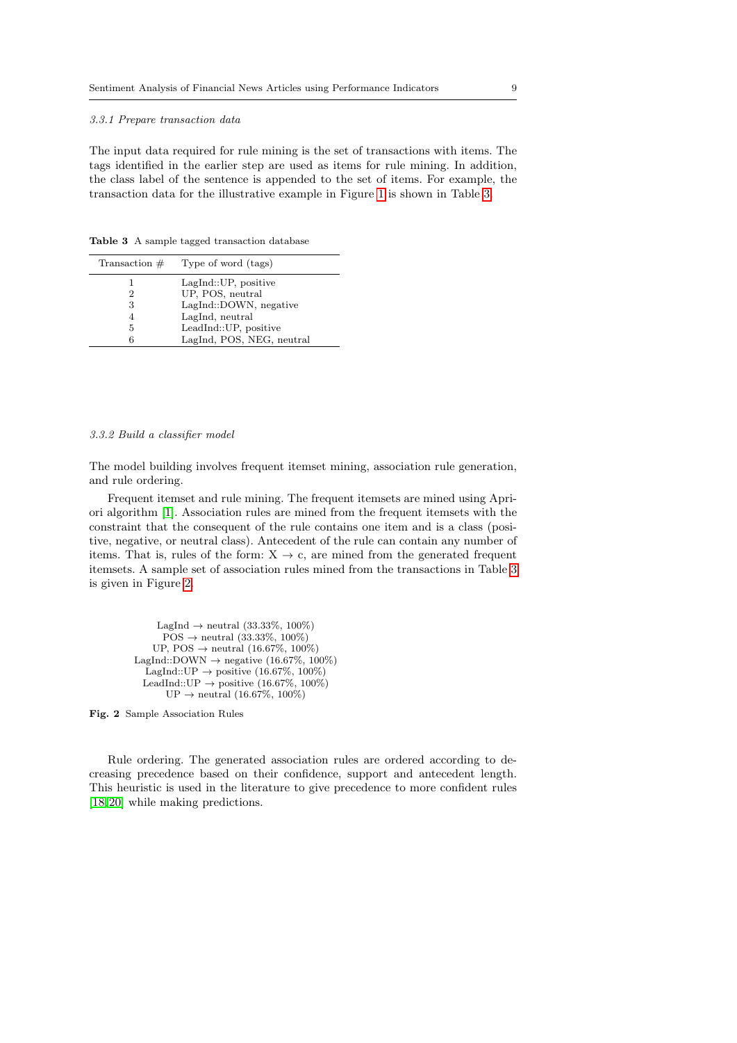#### 3.3.1 Prepare transaction data

The input data required for rule mining is the set of transactions with items. The tags identified in the earlier step are used as items for rule mining. In addition, the class label of the sentence is appended to the set of items. For example, the transaction data for the illustrative example in Figure [1](#page-7-0) is shown in Table [3.](#page-8-0)

<span id="page-8-0"></span>Table 3 A sample tagged transaction database

|   | Transaction $\#$ Type of word (tags) |
|---|--------------------------------------|
|   | LagInd::UP, positive                 |
| 2 | UP, POS, neutral                     |
| 3 | LagInd::DOWN, negative               |
| 4 | LagInd, neutral                      |
| 5 | LeadInd::UP, positive                |
|   | LagInd, POS, NEG, neutral            |

#### 3.3.2 Build a classifier model

The model building involves frequent itemset mining, association rule generation, and rule ordering.

Frequent itemset and rule mining. The frequent itemsets are mined using Apriori algorithm [\[1\]](#page-18-3). Association rules are mined from the frequent itemsets with the constraint that the consequent of the rule contains one item and is a class (positive, negative, or neutral class). Antecedent of the rule can contain any number of items. That is, rules of the form:  $X \rightarrow c$ , are mined from the generated frequent itemsets. A sample set of association rules mined from the transactions in Table [3](#page-8-0) is given in Figure [2.](#page-8-1)

```
LagInd \rightarrow neutral (33.33%, 100%)
       POS \rightarrow neutral (33.33%, 100%)
    UP, POS \rightarrow neutral (16.67%, 100%)
LagInd::DOWN \rightarrow negative (16.67%, 100%)
  LagInd::UP \rightarrow positive (16.67%, 100%)
  LeadInd::UP \rightarrow positive (16.67%, 100%)
        UP \rightarrow neutral (16.67%, 100%)
```
<span id="page-8-1"></span>Fig. 2 Sample Association Rules

Rule ordering. The generated association rules are ordered according to decreasing precedence based on their confidence, support and antecedent length. This heuristic is used in the literature to give precedence to more confident rules [\[18,](#page-19-19) [20\]](#page-19-18) while making predictions.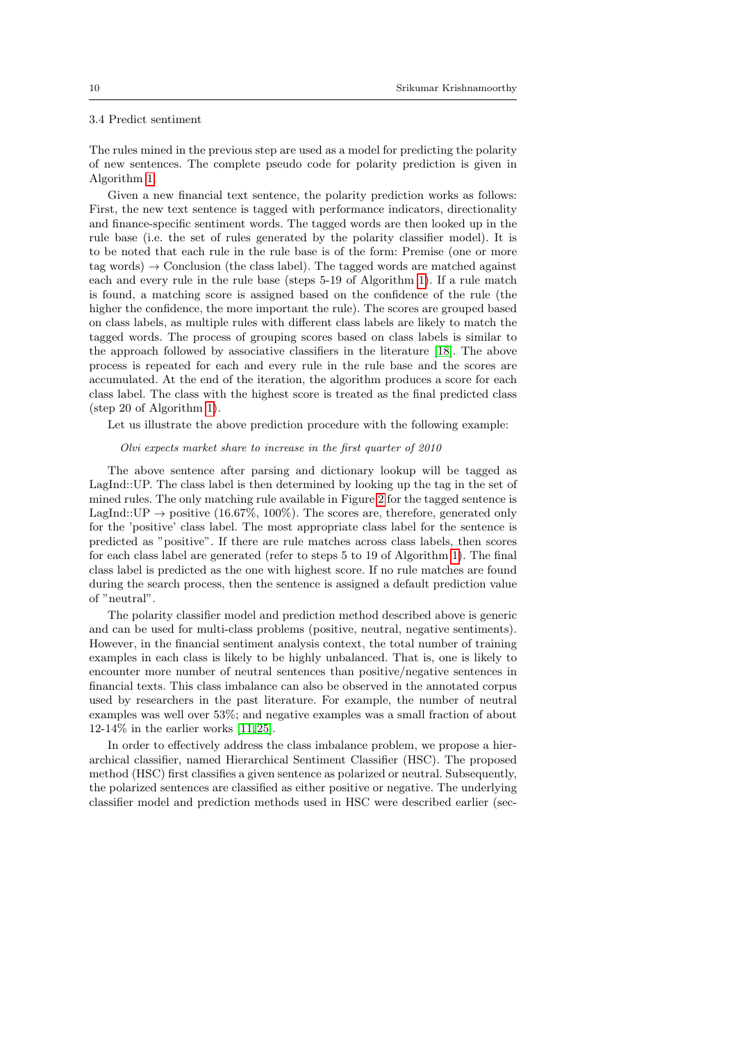#### 3.4 Predict sentiment

The rules mined in the previous step are used as a model for predicting the polarity of new sentences. The complete pseudo code for polarity prediction is given in Algorithm [1.](#page-10-0)

Given a new financial text sentence, the polarity prediction works as follows: First, the new text sentence is tagged with performance indicators, directionality and finance-specific sentiment words. The tagged words are then looked up in the rule base (i.e. the set of rules generated by the polarity classifier model). It is to be noted that each rule in the rule base is of the form: Premise (one or more tag words)  $\rightarrow$  Conclusion (the class label). The tagged words are matched against each and every rule in the rule base (steps 5-19 of Algorithm [1\)](#page-10-0). If a rule match is found, a matching score is assigned based on the confidence of the rule (the higher the confidence, the more important the rule). The scores are grouped based on class labels, as multiple rules with different class labels are likely to match the tagged words. The process of grouping scores based on class labels is similar to the approach followed by associative classifiers in the literature [\[18\]](#page-19-19). The above process is repeated for each and every rule in the rule base and the scores are accumulated. At the end of the iteration, the algorithm produces a score for each class label. The class with the highest score is treated as the final predicted class (step 20 of Algorithm [1\)](#page-10-0).

Let us illustrate the above prediction procedure with the following example:

#### Olvi expects market share to increase in the first quarter of 2010

The above sentence after parsing and dictionary lookup will be tagged as LagInd::UP. The class label is then determined by looking up the tag in the set of mined rules. The only matching rule available in Figure [2](#page-8-1) for the tagged sentence is LagInd::UP  $\rightarrow$  positive (16.67%, 100%). The scores are, therefore, generated only for the 'positive' class label. The most appropriate class label for the sentence is predicted as "positive". If there are rule matches across class labels, then scores for each class label are generated (refer to steps 5 to 19 of Algorithm [1\)](#page-10-0). The final class label is predicted as the one with highest score. If no rule matches are found during the search process, then the sentence is assigned a default prediction value of "neutral".

The polarity classifier model and prediction method described above is generic and can be used for multi-class problems (positive, neutral, negative sentiments). However, in the financial sentiment analysis context, the total number of training examples in each class is likely to be highly unbalanced. That is, one is likely to encounter more number of neutral sentences than positive/negative sentences in financial texts. This class imbalance can also be observed in the annotated corpus used by researchers in the past literature. For example, the number of neutral examples was well over 53%; and negative examples was a small fraction of about  $12-14\%$  in the earlier works [\[11,](#page-19-1) [25\]](#page-19-8).

In order to effectively address the class imbalance problem, we propose a hierarchical classifier, named Hierarchical Sentiment Classifier (HSC). The proposed method (HSC) first classifies a given sentence as polarized or neutral. Subsequently, the polarized sentences are classified as either positive or negative. The underlying classifier model and prediction methods used in HSC were described earlier (sec-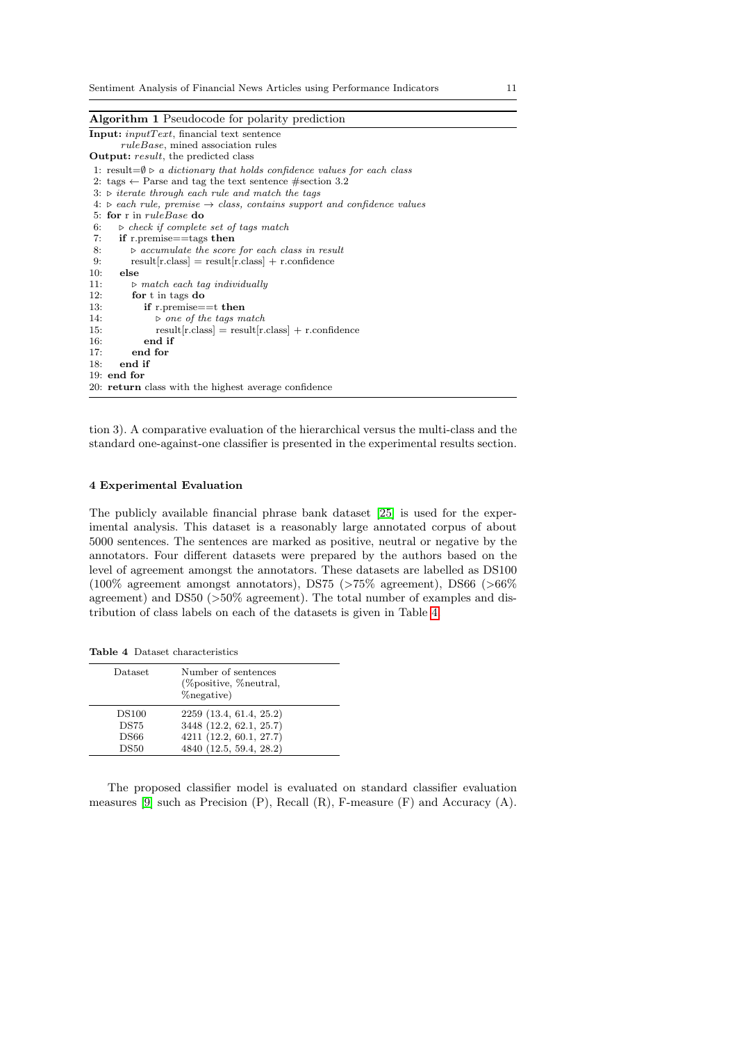<span id="page-10-0"></span>

| <b>Algorithm 1</b> Pseudocode for polarity prediction                                              |
|----------------------------------------------------------------------------------------------------|
| <b>Input:</b> <i>inputText</i> , financial text sentence                                           |
| $ruleBase$ , mined association rules                                                               |
| <b>Output:</b> result, the predicted class                                                         |
| 1: result= $\emptyset \triangleright a$ dictionary that holds confidence values for each class     |
| 2. tags $\leftarrow$ Parse and tag the text sentence #section 3.2                                  |
|                                                                                                    |
| 4: $\triangleright$ each rule, premise $\rightarrow$ class, contains support and confidence values |
| 5: for r in $ruleBase$ do                                                                          |
| $\triangleright$ check if complete set of tags match<br>6:                                         |
| 7:<br>if r.premise= $=$ tags then                                                                  |
| 8:<br>$\triangleright$ accumulate the score for each class in result                               |
| 9.<br>$result r.class $ = result $ r.class $ + r.confidence                                        |
| 10:<br>else                                                                                        |
| 11:<br>$\triangleright$ match each tag individually                                                |
| 12:<br>for t in tags do                                                                            |
| 13:<br>if r.premise $=$ =t then                                                                    |
| 14:<br>$\triangleright$ one of the tags match                                                      |
| 15:<br>$result r.class $ = result $ r.class $ + r.confidence                                       |
| end if<br>16:                                                                                      |
| end for<br>17:                                                                                     |
| end if<br>18:                                                                                      |
| $19:$ end for                                                                                      |
| 20: return class with the highest average confidence                                               |
|                                                                                                    |

tion 3). A comparative evaluation of the hierarchical versus the multi-class and the standard one-against-one classifier is presented in the experimental results section.

# 4 Experimental Evaluation

The publicly available financial phrase bank dataset [\[25\]](#page-19-8) is used for the experimental analysis. This dataset is a reasonably large annotated corpus of about 5000 sentences. The sentences are marked as positive, neutral or negative by the annotators. Four different datasets were prepared by the authors based on the level of agreement amongst the annotators. These datasets are labelled as DS100 (100% agreement amongst annotators), DS75 (>75% agreement), DS66 (>66% agreement) and DS50 (>50% agreement). The total number of examples and distribution of class labels on each of the datasets is given in Table [4.](#page-10-1)

<span id="page-10-1"></span>Table 4 Dataset characteristics

| <b>Dataset</b> | Number of sentences<br>(%positive, %neutral,<br><i>Y</i> <sub>onegative</sub> ) |
|----------------|---------------------------------------------------------------------------------|
| <b>DS100</b>   | $2259$ $(13.4, 61.4, 25.2)$                                                     |
| DS75           | 3448 (12.2, 62.1, 25.7)                                                         |
| DS66           | $4211$ $(12.2, 60.1, 27.7)$                                                     |
| DS50           | 4840 (12.5, 59.4, 28.2)                                                         |

The proposed classifier model is evaluated on standard classifier evaluation measures [\[9\]](#page-19-21) such as Precision (P), Recall (R), F-measure (F) and Accuracy (A).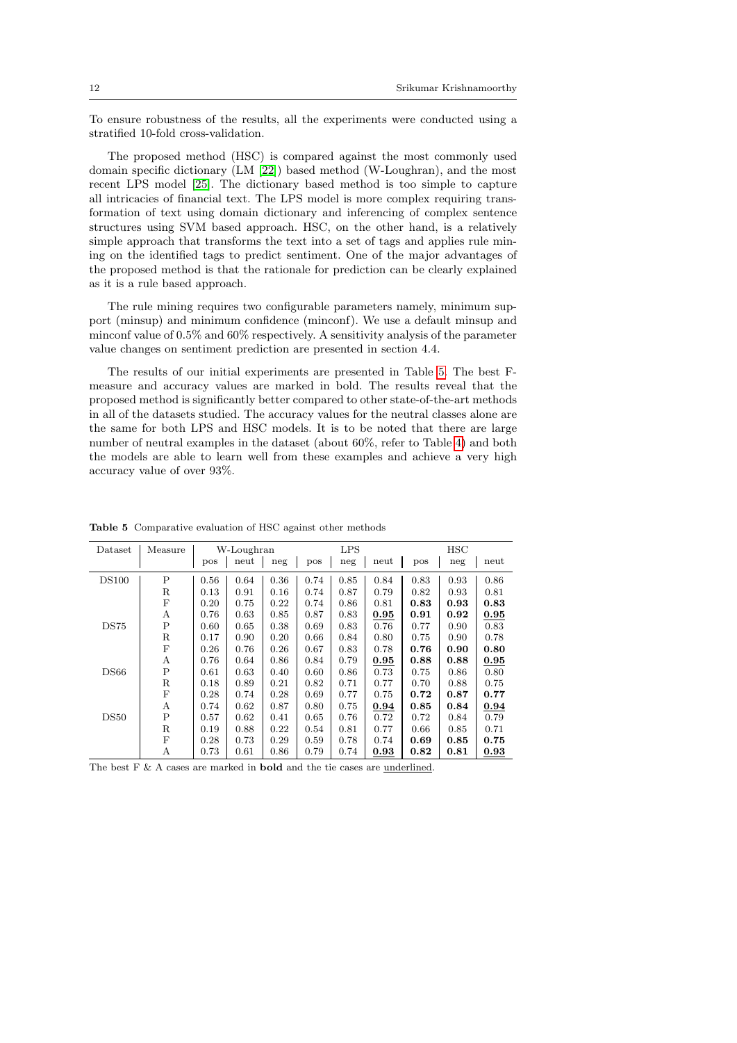To ensure robustness of the results, all the experiments were conducted using a stratified 10-fold cross-validation.

The proposed method (HSC) is compared against the most commonly used domain specific dictionary (LM [\[22\]](#page-19-7)) based method (W-Loughran), and the most recent LPS model [\[25\]](#page-19-8). The dictionary based method is too simple to capture all intricacies of financial text. The LPS model is more complex requiring transformation of text using domain dictionary and inferencing of complex sentence structures using SVM based approach. HSC, on the other hand, is a relatively simple approach that transforms the text into a set of tags and applies rule mining on the identified tags to predict sentiment. One of the major advantages of the proposed method is that the rationale for prediction can be clearly explained as it is a rule based approach.

The rule mining requires two configurable parameters namely, minimum support (minsup) and minimum confidence (minconf). We use a default minsup and minconf value of 0.5% and 60% respectively. A sensitivity analysis of the parameter value changes on sentiment prediction are presented in section 4.4.

The results of our initial experiments are presented in Table [5.](#page-11-0) The best Fmeasure and accuracy values are marked in bold. The results reveal that the proposed method is significantly better compared to other state-of-the-art methods in all of the datasets studied. The accuracy values for the neutral classes alone are the same for both LPS and HSC models. It is to be noted that there are large number of neutral examples in the dataset (about 60%, refer to Table [4\)](#page-10-1) and both the models are able to learn well from these examples and achieve a very high accuracy value of over 93%.

| Dataset      | Measure     |      | W-Loughran |      | <b>LPS</b> |      |      | HSC  |            |      |
|--------------|-------------|------|------------|------|------------|------|------|------|------------|------|
|              |             | pos  | neut       | neg  | pos        | neg  | neut | pos  | neg        | neut |
| <b>DS100</b> | Ρ           | 0.56 | 0.64       | 0.36 | 0.74       | 0.85 | 0.84 | 0.83 | 0.93       | 0.86 |
|              | R           | 0.13 | 0.91       | 0.16 | 0.74       | 0.87 | 0.79 | 0.82 | 0.93       | 0.81 |
|              | F           | 0.20 | 0.75       | 0.22 | 0.74       | 0.86 | 0.81 | 0.83 | $0.93\,$   | 0.83 |
|              | A           | 0.76 | 0.63       | 0.85 | 0.87       | 0.83 | 0.95 | 0.91 | 0.92       | 0.95 |
| <b>DS75</b>  | Ρ           | 0.60 | 0.65       | 0.38 | 0.69       | 0.83 | 0.76 | 0.77 | 0.90       | 0.83 |
|              | $_{\rm R}$  | 0.17 | 0.90       | 0.20 | 0.66       | 0.84 | 0.80 | 0.75 | 0.90       | 0.78 |
|              | F           | 0.26 | 0.76       | 0.26 | 0.67       | 0.83 | 0.78 | 0.76 | 0.90       | 0.80 |
|              | А           | 0.76 | 0.64       | 0.86 | 0.84       | 0.79 | 0.95 | 0.88 | 0.88       | 0.95 |
| <b>DS66</b>  | $\mathbf P$ | 0.61 | 0.63       | 0.40 | 0.60       | 0.86 | 0.73 | 0.75 | 0.86       | 0.80 |
|              | $_{\rm R}$  | 0.18 | 0.89       | 0.21 | 0.82       | 0.71 | 0.77 | 0.70 | 0.88       | 0.75 |
|              | F           | 0.28 | 0.74       | 0.28 | 0.69       | 0.77 | 0.75 | 0.72 | 0.87       | 0.77 |
|              | A           | 0.74 | 0.62       | 0.87 | 0.80       | 0.75 | 0.94 | 0.85 | 0.84       | 0.94 |
| DS50         | Ρ           | 0.57 | 0.62       | 0.41 | 0.65       | 0.76 | 0.72 | 0.72 | 0.84       | 0.79 |
|              | R           | 0.19 | 0.88       | 0.22 | 0.54       | 0.81 | 0.77 | 0.66 | 0.85       | 0.71 |
|              | F           | 0.28 | 0.73       | 0.29 | 0.59       | 0.78 | 0.74 | 0.69 | $\,0.85\,$ | 0.75 |
|              | А           | 0.73 | 0.61       | 0.86 | 0.79       | 0.74 | 0.93 | 0.82 | 0.81       | 0.93 |

<span id="page-11-0"></span>Table 5 Comparative evaluation of HSC against other methods

The best F & A cases are marked in **bold** and the tie cases are underlined.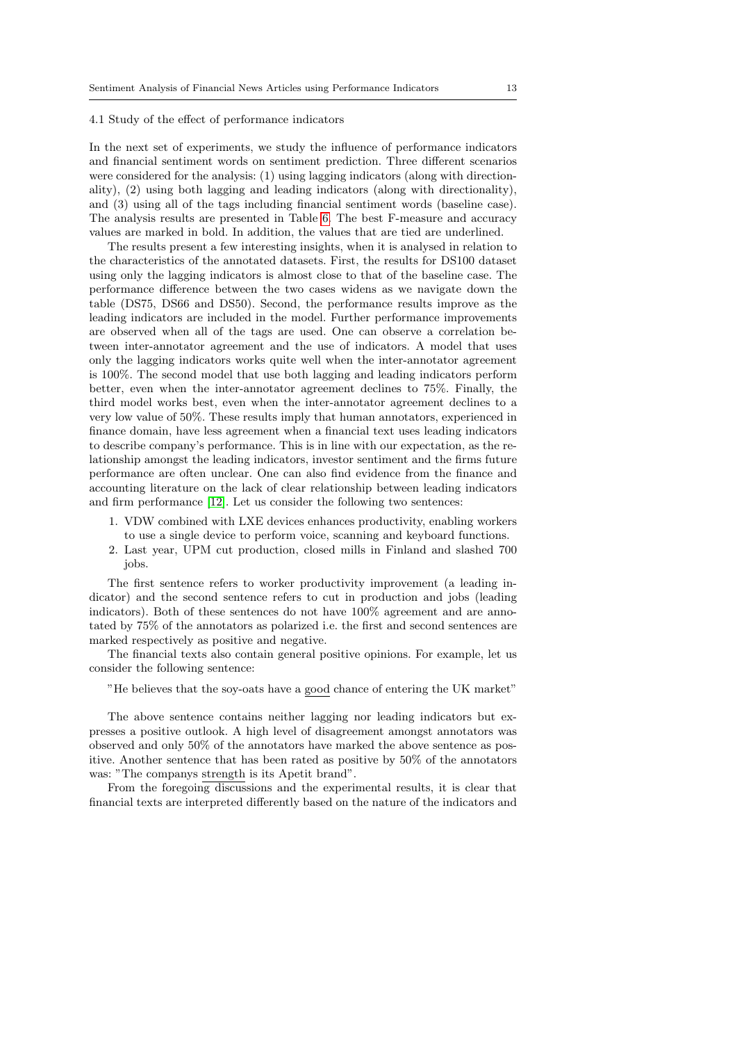#### 4.1 Study of the effect of performance indicators

In the next set of experiments, we study the influence of performance indicators and financial sentiment words on sentiment prediction. Three different scenarios were considered for the analysis: (1) using lagging indicators (along with directionality), (2) using both lagging and leading indicators (along with directionality), and (3) using all of the tags including financial sentiment words (baseline case). The analysis results are presented in Table [6.](#page-13-0) The best F-measure and accuracy values are marked in bold. In addition, the values that are tied are underlined.

The results present a few interesting insights, when it is analysed in relation to the characteristics of the annotated datasets. First, the results for DS100 dataset using only the lagging indicators is almost close to that of the baseline case. The performance difference between the two cases widens as we navigate down the table (DS75, DS66 and DS50). Second, the performance results improve as the leading indicators are included in the model. Further performance improvements are observed when all of the tags are used. One can observe a correlation between inter-annotator agreement and the use of indicators. A model that uses only the lagging indicators works quite well when the inter-annotator agreement is 100%. The second model that use both lagging and leading indicators perform better, even when the inter-annotator agreement declines to 75%. Finally, the third model works best, even when the inter-annotator agreement declines to a very low value of 50%. These results imply that human annotators, experienced in finance domain, have less agreement when a financial text uses leading indicators to describe company's performance. This is in line with our expectation, as the relationship amongst the leading indicators, investor sentiment and the firms future performance are often unclear. One can also find evidence from the finance and accounting literature on the lack of clear relationship between leading indicators and firm performance [\[12\]](#page-19-22). Let us consider the following two sentences:

- 1. VDW combined with LXE devices enhances productivity, enabling workers to use a single device to perform voice, scanning and keyboard functions.
- 2. Last year, UPM cut production, closed mills in Finland and slashed 700 jobs.

The first sentence refers to worker productivity improvement (a leading indicator) and the second sentence refers to cut in production and jobs (leading indicators). Both of these sentences do not have 100% agreement and are annotated by 75% of the annotators as polarized i.e. the first and second sentences are marked respectively as positive and negative.

The financial texts also contain general positive opinions. For example, let us consider the following sentence:

"He believes that the soy-oats have a good chance of entering the UK market"

The above sentence contains neither lagging nor leading indicators but expresses a positive outlook. A high level of disagreement amongst annotators was observed and only 50% of the annotators have marked the above sentence as positive. Another sentence that has been rated as positive by 50% of the annotators was: "The companys strength is its Apetit brand".

From the foregoing discussions and the experimental results, it is clear that financial texts are interpreted differently based on the nature of the indicators and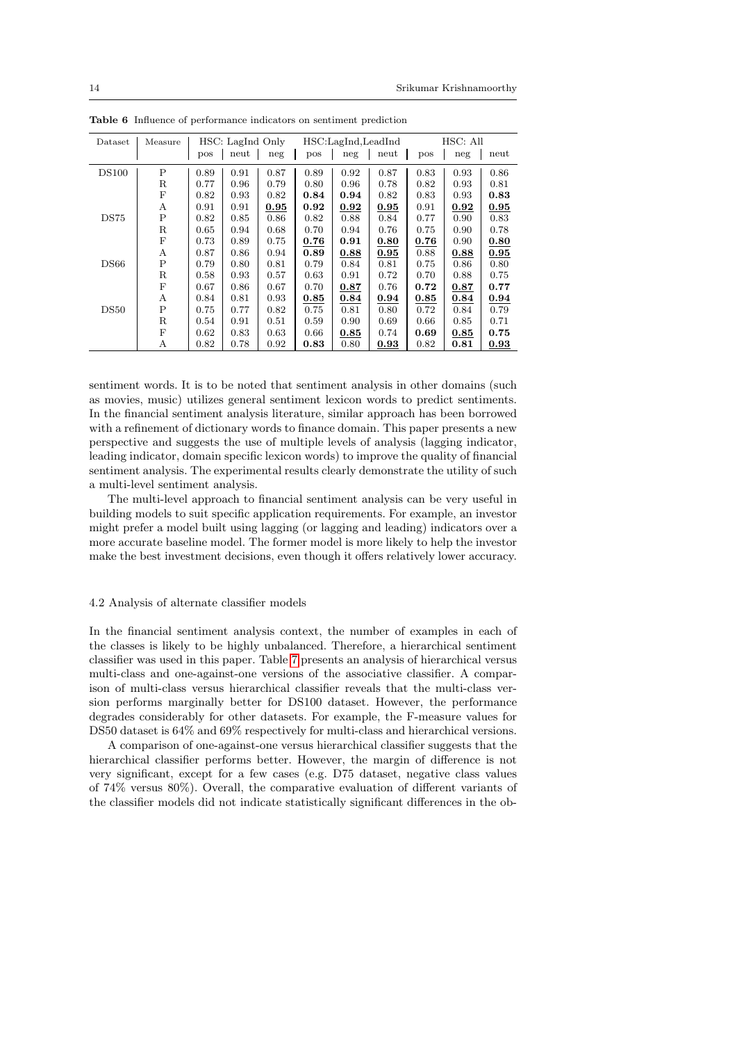| Dataset      | Measure     |      | HSC: LagInd Only |      | HSC:LagInd,LeadInd |      |      | HSC: All |      |      |
|--------------|-------------|------|------------------|------|--------------------|------|------|----------|------|------|
|              |             | pos  | neut             | neg  | pos                | neg  | neut | pos      | neg  | neut |
| <b>DS100</b> | Ρ           | 0.89 | 0.91             | 0.87 | 0.89               | 0.92 | 0.87 | 0.83     | 0.93 | 0.86 |
|              | $_{\rm R}$  | 0.77 | 0.96             | 0.79 | 0.80               | 0.96 | 0.78 | 0.82     | 0.93 | 0.81 |
|              | F           | 0.82 | 0.93             | 0.82 | 0.84               | 0.94 | 0.82 | 0.83     | 0.93 | 0.83 |
|              | А           | 0.91 | 0.91             | 0.95 | 0.92               | 0.92 | 0.95 | 0.91     | 0.92 | 0.95 |
| DS75         | Ρ           | 0.82 | 0.85             | 0.86 | 0.82               | 0.88 | 0.84 | 0.77     | 0.90 | 0.83 |
|              | $_{\rm R}$  | 0.65 | 0.94             | 0.68 | 0.70               | 0.94 | 0.76 | 0.75     | 0.90 | 0.78 |
|              | F           | 0.73 | 0.89             | 0.75 | 0.76               | 0.91 | 0.80 | 0.76     | 0.90 | 0.80 |
|              | А           | 0.87 | 0.86             | 0.94 | 0.89               | 0.88 | 0.95 | 0.88     | 0.88 | 0.95 |
| DS66         | $\mathbf P$ | 0.79 | 0.80             | 0.81 | 0.79               | 0.84 | 0.81 | 0.75     | 0.86 | 0.80 |
|              | $_{\rm R}$  | 0.58 | 0.93             | 0.57 | 0.63               | 0.91 | 0.72 | 0.70     | 0.88 | 0.75 |
|              | F           | 0.67 | 0.86             | 0.67 | 0.70               | 0.87 | 0.76 | 0.72     | 0.87 | 0.77 |
|              | А           | 0.84 | 0.81             | 0.93 | 0.85               | 0.84 | 0.94 | 0.85     | 0.84 | 0.94 |
| DS50         | Ρ           | 0.75 | 0.77             | 0.82 | 0.75               | 0.81 | 0.80 | 0.72     | 0.84 | 0.79 |
|              | $_{\rm R}$  | 0.54 | 0.91             | 0.51 | 0.59               | 0.90 | 0.69 | 0.66     | 0.85 | 0.71 |
|              | $_{\rm F}$  | 0.62 | 0.83             | 0.63 | 0.66               | 0.85 | 0.74 | 0.69     | 0.85 | 0.75 |
|              | А           | 0.82 | 0.78             | 0.92 | 0.83               | 0.80 | 0.93 | 0.82     | 0.81 | 0.93 |

<span id="page-13-0"></span>Table 6 Influence of performance indicators on sentiment prediction

sentiment words. It is to be noted that sentiment analysis in other domains (such as movies, music) utilizes general sentiment lexicon words to predict sentiments. In the financial sentiment analysis literature, similar approach has been borrowed with a refinement of dictionary words to finance domain. This paper presents a new perspective and suggests the use of multiple levels of analysis (lagging indicator, leading indicator, domain specific lexicon words) to improve the quality of financial sentiment analysis. The experimental results clearly demonstrate the utility of such a multi-level sentiment analysis.

The multi-level approach to financial sentiment analysis can be very useful in building models to suit specific application requirements. For example, an investor might prefer a model built using lagging (or lagging and leading) indicators over a more accurate baseline model. The former model is more likely to help the investor make the best investment decisions, even though it offers relatively lower accuracy.

### 4.2 Analysis of alternate classifier models

In the financial sentiment analysis context, the number of examples in each of the classes is likely to be highly unbalanced. Therefore, a hierarchical sentiment classifier was used in this paper. Table [7](#page-14-0) presents an analysis of hierarchical versus multi-class and one-against-one versions of the associative classifier. A comparison of multi-class versus hierarchical classifier reveals that the multi-class version performs marginally better for DS100 dataset. However, the performance degrades considerably for other datasets. For example, the F-measure values for DS50 dataset is 64% and 69% respectively for multi-class and hierarchical versions.

A comparison of one-against-one versus hierarchical classifier suggests that the hierarchical classifier performs better. However, the margin of difference is not very significant, except for a few cases (e.g. D75 dataset, negative class values of 74% versus 80%). Overall, the comparative evaluation of different variants of the classifier models did not indicate statistically significant differences in the ob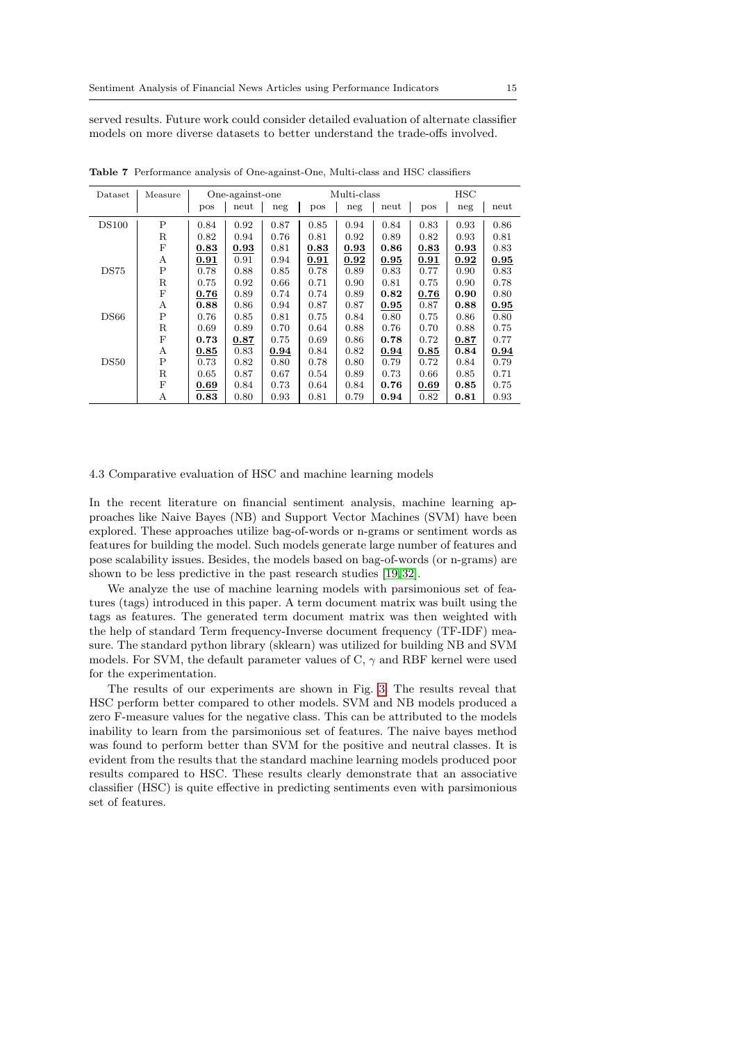served results. Future work could consider detailed evaluation of alternate classifier models on more diverse datasets to better understand the trade-offs involved.

| Dataset      | Measure     |             | One-against-one |      |      | Multi-class |      |      | <b>HSC</b>          |      |
|--------------|-------------|-------------|-----------------|------|------|-------------|------|------|---------------------|------|
|              |             | pos         | neut            | neg  | pos  | neg         | neut | pos  | neg                 | neut |
| <b>DS100</b> | $\mathbf P$ | 0.84        | 0.92            | 0.87 | 0.85 | 0.94        | 0.84 | 0.83 | 0.93                | 0.86 |
|              | $_{\rm R}$  | 0.82        | 0.94            | 0.76 | 0.81 | 0.92        | 0.89 | 0.82 | 0.93                | 0.81 |
|              | F           | $\bf{0.83}$ | 0.93            | 0.81 | 0.83 | 0.93        | 0.86 | 0.83 | $\boldsymbol{0.93}$ | 0.83 |
|              | А           | 0.91        | 0.91            | 0.94 | 0.91 | 0.92        | 0.95 | 0.91 | 0.92                | 0.95 |
| DS75         | Ρ           | 0.78        | 0.88            | 0.85 | 0.78 | 0.89        | 0.83 | 0.77 | 0.90                | 0.83 |
|              | $_{\rm R}$  | 0.75        | 0.92            | 0.66 | 0.71 | 0.90        | 0.81 | 0.75 | 0.90                | 0.78 |
|              | F           | 0.76        | 0.89            | 0.74 | 0.74 | 0.89        | 0.82 | 0.76 | 0.90                | 0.80 |
|              | А           | 0.88        | 0.86            | 0.94 | 0.87 | 0.87        | 0.95 | 0.87 | 0.88                | 0.95 |
| DS66         | Ρ           | 0.76        | 0.85            | 0.81 | 0.75 | 0.84        | 0.80 | 0.75 | 0.86                | 0.80 |
|              | $_{\rm R}$  | 0.69        | 0.89            | 0.70 | 0.64 | 0.88        | 0.76 | 0.70 | 0.88                | 0.75 |
|              | $\mathbf F$ | 0.73        | 0.87            | 0.75 | 0.69 | 0.86        | 0.78 | 0.72 | $\bf 0.87$          | 0.77 |
|              | А           | $\bf 0.85$  | 0.83            | 0.94 | 0.84 | 0.82        | 0.94 | 0.85 | 0.84                | 0.94 |
| DS50         | Ρ           | 0.73        | 0.82            | 0.80 | 0.78 | 0.80        | 0.79 | 0.72 | 0.84                | 0.79 |
|              | $_{\rm R}$  | 0.65        | 0.87            | 0.67 | 0.54 | 0.89        | 0.73 | 0.66 | 0.85                | 0.71 |
|              | F           | 0.69        | 0.84            | 0.73 | 0.64 | 0.84        | 0.76 | 0.69 | 0.85                | 0.75 |
|              | А           | 0.83        | 0.80            | 0.93 | 0.81 | 0.79        | 0.94 | 0.82 | 0.81                | 0.93 |

<span id="page-14-0"></span>Table 7 Performance analysis of One-against-One, Multi-class and HSC classifiers

#### 4.3 Comparative evaluation of HSC and machine learning models

In the recent literature on financial sentiment analysis, machine learning approaches like Naive Bayes (NB) and Support Vector Machines (SVM) have been explored. These approaches utilize bag-of-words or n-grams or sentiment words as features for building the model. Such models generate large number of features and pose scalability issues. Besides, the models based on bag-of-words (or n-grams) are shown to be less predictive in the past research studies [\[19,](#page-19-6) [32\]](#page-20-8).

We analyze the use of machine learning models with parsimonious set of features (tags) introduced in this paper. A term document matrix was built using the tags as features. The generated term document matrix was then weighted with the help of standard Term frequency-Inverse document frequency (TF-IDF) measure. The standard python library (sklearn) was utilized for building NB and SVM models. For SVM, the default parameter values of C,  $\gamma$  and RBF kernel were used for the experimentation.

The results of our experiments are shown in Fig. [3.](#page-15-0) The results reveal that HSC perform better compared to other models. SVM and NB models produced a zero F-measure values for the negative class. This can be attributed to the models inability to learn from the parsimonious set of features. The naive bayes method was found to perform better than SVM for the positive and neutral classes. It is evident from the results that the standard machine learning models produced poor results compared to HSC. These results clearly demonstrate that an associative classifier (HSC) is quite effective in predicting sentiments even with parsimonious set of features.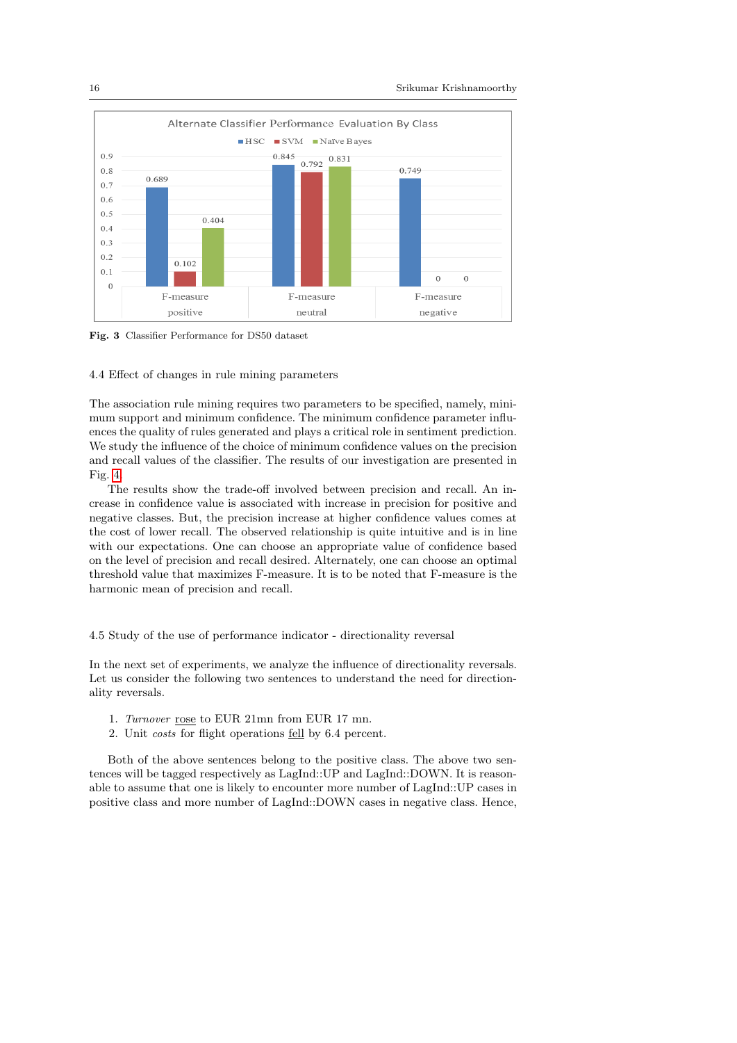

<span id="page-15-0"></span>Fig. 3 Classifier Performance for DS50 dataset

4.4 Effect of changes in rule mining parameters

The association rule mining requires two parameters to be specified, namely, minimum support and minimum confidence. The minimum confidence parameter influences the quality of rules generated and plays a critical role in sentiment prediction. We study the influence of the choice of minimum confidence values on the precision and recall values of the classifier. The results of our investigation are presented in Fig. [4.](#page-16-0)

The results show the trade-off involved between precision and recall. An increase in confidence value is associated with increase in precision for positive and negative classes. But, the precision increase at higher confidence values comes at the cost of lower recall. The observed relationship is quite intuitive and is in line with our expectations. One can choose an appropriate value of confidence based on the level of precision and recall desired. Alternately, one can choose an optimal threshold value that maximizes F-measure. It is to be noted that F-measure is the harmonic mean of precision and recall.

4.5 Study of the use of performance indicator - directionality reversal

In the next set of experiments, we analyze the influence of directionality reversals. Let us consider the following two sentences to understand the need for directionality reversals.

- 1. Turnover rose to EUR 21mn from EUR 17 mn.
- 2. Unit costs for flight operations fell by 6.4 percent.

Both of the above sentences belong to the positive class. The above two sentences will be tagged respectively as LagInd::UP and LagInd::DOWN. It is reasonable to assume that one is likely to encounter more number of LagInd::UP cases in positive class and more number of LagInd::DOWN cases in negative class. Hence,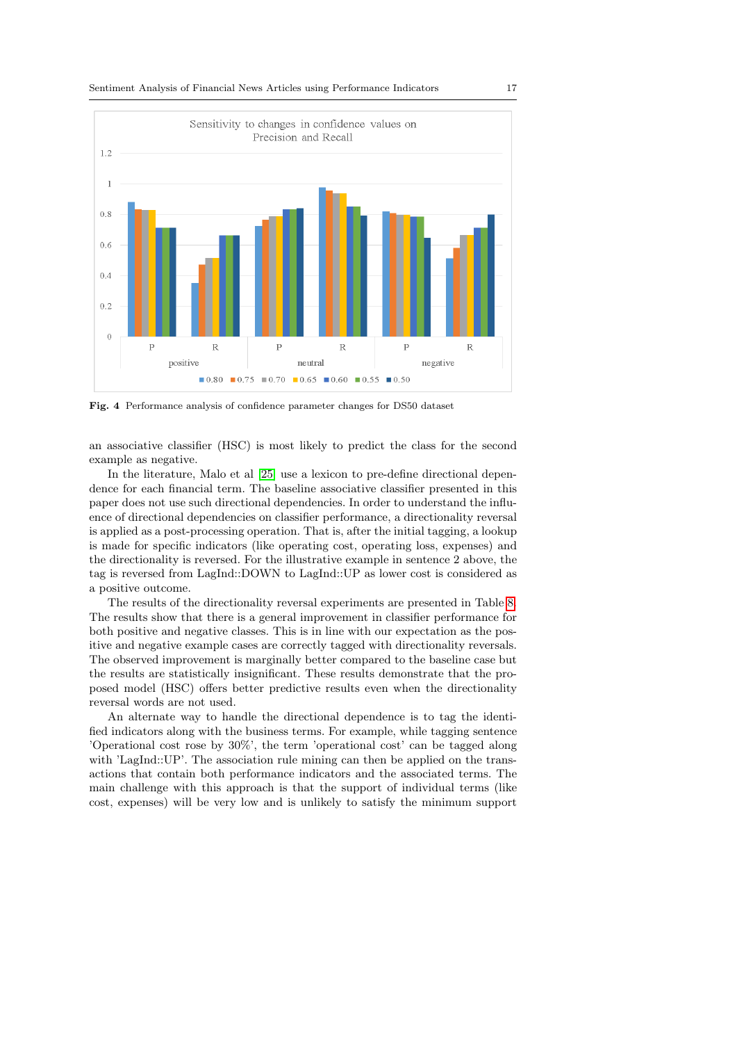

<span id="page-16-0"></span>Fig. 4 Performance analysis of confidence parameter changes for DS50 dataset

an associative classifier (HSC) is most likely to predict the class for the second example as negative.

In the literature, Malo et al [\[25\]](#page-19-8) use a lexicon to pre-define directional dependence for each financial term. The baseline associative classifier presented in this paper does not use such directional dependencies. In order to understand the influence of directional dependencies on classifier performance, a directionality reversal is applied as a post-processing operation. That is, after the initial tagging, a lookup is made for specific indicators (like operating cost, operating loss, expenses) and the directionality is reversed. For the illustrative example in sentence 2 above, the tag is reversed from LagInd::DOWN to LagInd::UP as lower cost is considered as a positive outcome.

The results of the directionality reversal experiments are presented in Table [8.](#page-17-0) The results show that there is a general improvement in classifier performance for both positive and negative classes. This is in line with our expectation as the positive and negative example cases are correctly tagged with directionality reversals. The observed improvement is marginally better compared to the baseline case but the results are statistically insignificant. These results demonstrate that the proposed model (HSC) offers better predictive results even when the directionality reversal words are not used.

An alternate way to handle the directional dependence is to tag the identified indicators along with the business terms. For example, while tagging sentence 'Operational cost rose by 30%', the term 'operational cost' can be tagged along with 'LagInd::UP'. The association rule mining can then be applied on the transactions that contain both performance indicators and the associated terms. The main challenge with this approach is that the support of individual terms (like cost, expenses) will be very low and is unlikely to satisfy the minimum support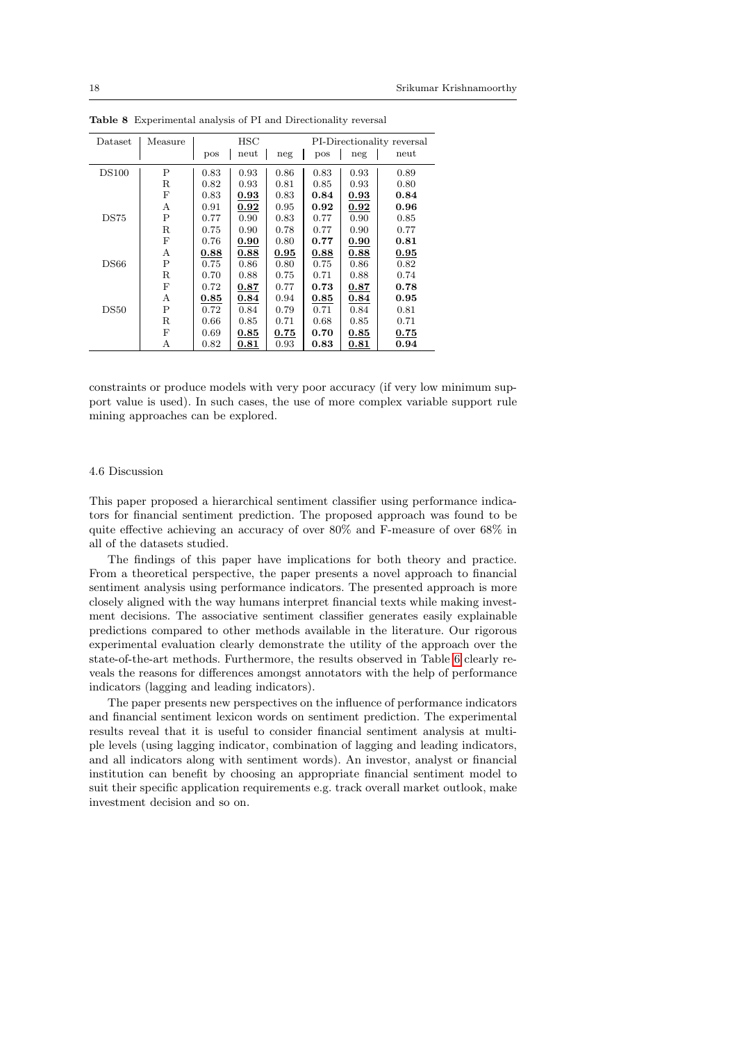| Dataset      | Measure |            | HSC        |      |      |      | PI-Directionality reversal |
|--------------|---------|------------|------------|------|------|------|----------------------------|
|              |         | pos        | neut       | neg  | pos  | neg  | neut                       |
| <b>DS100</b> | P       | 0.83       | 0.93       | 0.86 | 0.83 | 0.93 | 0.89                       |
|              | R       | 0.82       | 0.93       | 0.81 | 0.85 | 0.93 | 0.80                       |
|              | F       | 0.83       | 0.93       | 0.83 | 0.84 | 0.93 | 0.84                       |
|              | А       | 0.91       | 0.92       | 0.95 | 0.92 | 0.92 | 0.96                       |
| DS75         | P       | 0.77       | 0.90       | 0.83 | 0.77 | 0.90 | 0.85                       |
|              | R       | 0.75       | 0.90       | 0.78 | 0.77 | 0.90 | 0.77                       |
|              | F       | 0.76       | 0.90       | 0.80 | 0.77 | 0.90 | 0.81                       |
|              | А       | 0.88       | 0.88       | 0.95 | 0.88 | 0.88 | 0.95                       |
| DS66         | Ρ       | 0.75       | 0.86       | 0.80 | 0.75 | 0.86 | 0.82                       |
|              | R       | 0.70       | 0.88       | 0.75 | 0.71 | 0.88 | 0.74                       |
|              | F       | 0.72       | 0.87       | 0.77 | 0.73 | 0.87 | 0.78                       |
|              | A       | $\bf 0.85$ | $\bf 0.84$ | 0.94 | 0.85 | 0.84 | 0.95                       |
| DS50         | P       | 0.72       | 0.84       | 0.79 | 0.71 | 0.84 | 0.81                       |
|              | R       | 0.66       | 0.85       | 0.71 | 0.68 | 0.85 | 0.71                       |
|              | F       | 0.69       | $\bf 0.85$ | 0.75 | 0.70 | 0.85 | 0.75                       |
|              | А       | 0.82       | 0.81       | 0.93 | 0.83 | 0.81 | 0.94                       |

<span id="page-17-0"></span>Table 8 Experimental analysis of PI and Directionality reversal

constraints or produce models with very poor accuracy (if very low minimum support value is used). In such cases, the use of more complex variable support rule mining approaches can be explored.

#### 4.6 Discussion

This paper proposed a hierarchical sentiment classifier using performance indicators for financial sentiment prediction. The proposed approach was found to be quite effective achieving an accuracy of over 80% and F-measure of over 68% in all of the datasets studied.

The findings of this paper have implications for both theory and practice. From a theoretical perspective, the paper presents a novel approach to financial sentiment analysis using performance indicators. The presented approach is more closely aligned with the way humans interpret financial texts while making investment decisions. The associative sentiment classifier generates easily explainable predictions compared to other methods available in the literature. Our rigorous experimental evaluation clearly demonstrate the utility of the approach over the state-of-the-art methods. Furthermore, the results observed in Table [6](#page-13-0) clearly reveals the reasons for differences amongst annotators with the help of performance indicators (lagging and leading indicators).

The paper presents new perspectives on the influence of performance indicators and financial sentiment lexicon words on sentiment prediction. The experimental results reveal that it is useful to consider financial sentiment analysis at multiple levels (using lagging indicator, combination of lagging and leading indicators, and all indicators along with sentiment words). An investor, analyst or financial institution can benefit by choosing an appropriate financial sentiment model to suit their specific application requirements e.g. track overall market outlook, make investment decision and so on.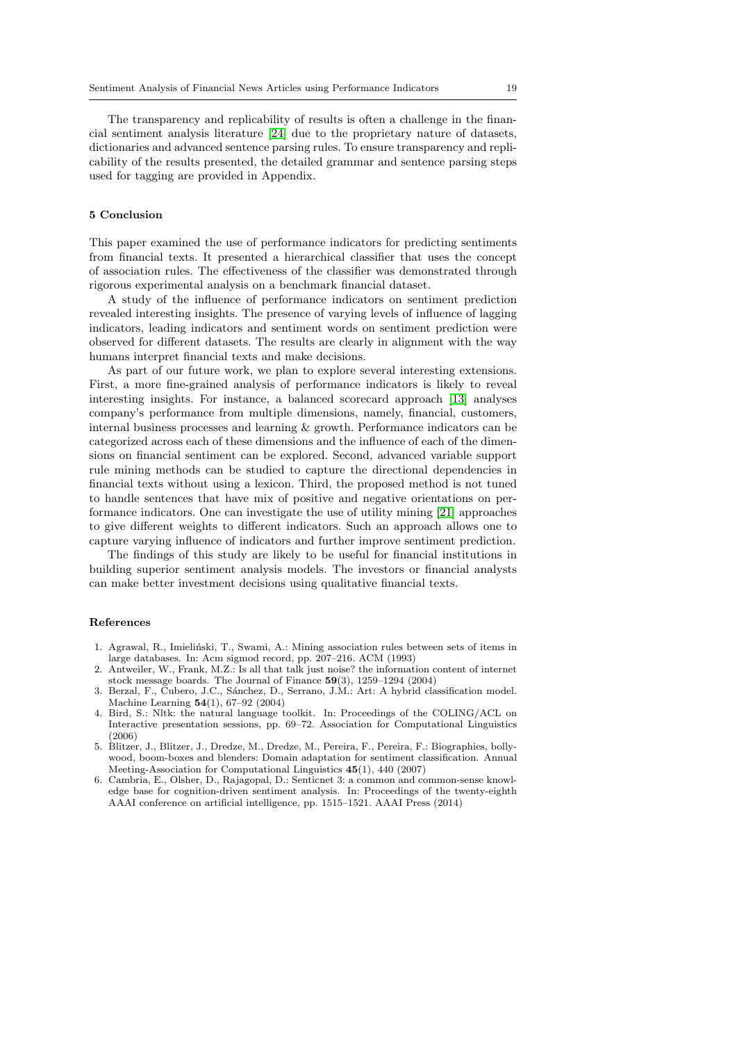The transparency and replicability of results is often a challenge in the financial sentiment analysis literature [\[24\]](#page-19-3) due to the proprietary nature of datasets, dictionaries and advanced sentence parsing rules. To ensure transparency and replicability of the results presented, the detailed grammar and sentence parsing steps used for tagging are provided in Appendix.

#### 5 Conclusion

This paper examined the use of performance indicators for predicting sentiments from financial texts. It presented a hierarchical classifier that uses the concept of association rules. The effectiveness of the classifier was demonstrated through rigorous experimental analysis on a benchmark financial dataset.

A study of the influence of performance indicators on sentiment prediction revealed interesting insights. The presence of varying levels of influence of lagging indicators, leading indicators and sentiment words on sentiment prediction were observed for different datasets. The results are clearly in alignment with the way humans interpret financial texts and make decisions.

As part of our future work, we plan to explore several interesting extensions. First, a more fine-grained analysis of performance indicators is likely to reveal interesting insights. For instance, a balanced scorecard approach [\[13\]](#page-19-12) analyses company's performance from multiple dimensions, namely, financial, customers, internal business processes and learning & growth. Performance indicators can be categorized across each of these dimensions and the influence of each of the dimensions on financial sentiment can be explored. Second, advanced variable support rule mining methods can be studied to capture the directional dependencies in financial texts without using a lexicon. Third, the proposed method is not tuned to handle sentences that have mix of positive and negative orientations on performance indicators. One can investigate the use of utility mining [\[21\]](#page-19-23) approaches to give different weights to different indicators. Such an approach allows one to capture varying influence of indicators and further improve sentiment prediction.

The findings of this study are likely to be useful for financial institutions in building superior sentiment analysis models. The investors or financial analysts can make better investment decisions using qualitative financial texts.

#### References

- <span id="page-18-3"></span>1. Agrawal, R., Imieliński, T., Swami, A.: Mining association rules between sets of items in large databases. In: Acm sigmod record, pp. 207–216. ACM (1993)
- <span id="page-18-1"></span>2. Antweiler, W., Frank, M.Z.: Is all that talk just noise? the information content of internet stock message boards. The Journal of Finance  $59(3)$ ,  $1259-1294$  (2004)
- <span id="page-18-5"></span>3. Berzal, F., Cubero, J.C., Sánchez, D., Serrano, J.M.: Art: A hybrid classification model. Machine Learning 54(1), 67–92 (2004)
- <span id="page-18-4"></span>4. Bird, S.: Nltk: the natural language toolkit. In: Proceedings of the COLING/ACL on Interactive presentation sessions, pp. 69–72. Association for Computational Linguistics (2006)
- <span id="page-18-0"></span>5. Blitzer, J., Blitzer, J., Dredze, M., Dredze, M., Pereira, F., Pereira, F.: Biographies, bollywood, boom-boxes and blenders: Domain adaptation for sentiment classification. Annual Meeting-Association for Computational Linguistics 45(1), 440 (2007)
- <span id="page-18-2"></span>6. Cambria, E., Olsher, D., Rajagopal, D.: Senticnet 3: a common and common-sense knowledge base for cognition-driven sentiment analysis. In: Proceedings of the twenty-eighth AAAI conference on artificial intelligence, pp. 1515–1521. AAAI Press (2014)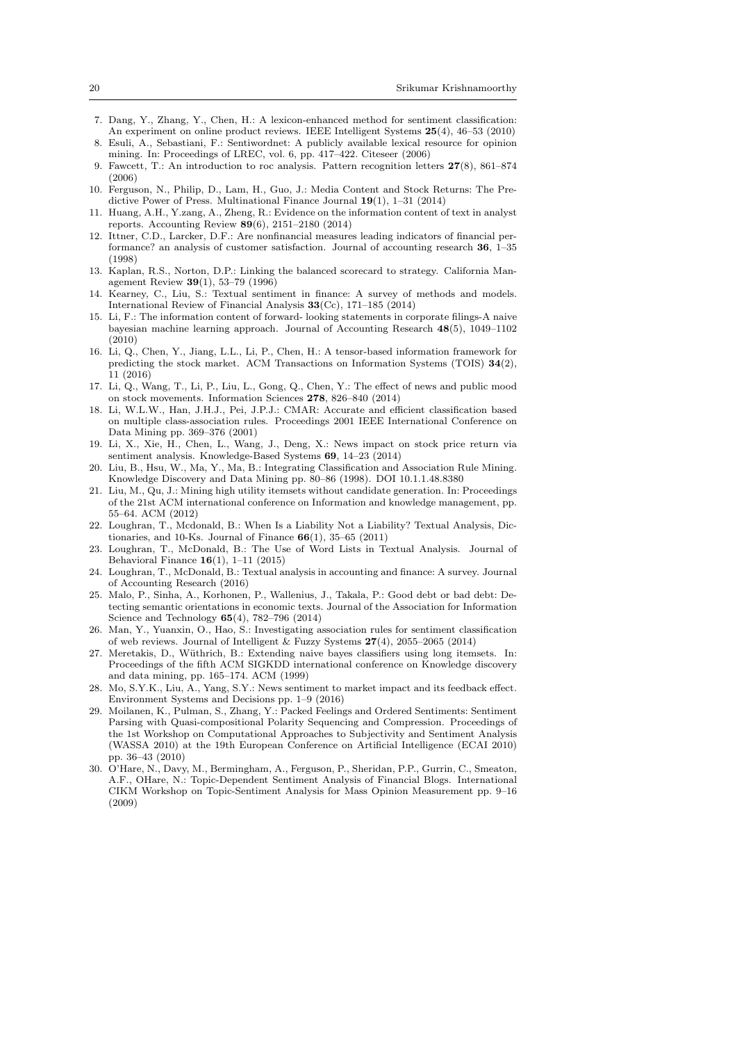- <span id="page-19-0"></span>7. Dang, Y., Zhang, Y., Chen, H.: A lexicon-enhanced method for sentiment classification: An experiment on online product reviews. IEEE Intelligent Systems 25(4), 46–53 (2010) 8. Esuli, A., Sebastiani, F.: Sentiwordnet: A publicly available lexical resource for opinion
- <span id="page-19-11"></span>mining. In: Proceedings of LREC, vol. 6, pp. 417–422. Citeseer (2006)
- <span id="page-19-21"></span>9. Fawcett, T.: An introduction to roc analysis. Pattern recognition letters 27(8), 861–874 (2006)
- <span id="page-19-4"></span>10. Ferguson, N., Philip, D., Lam, H., Guo, J.: Media Content and Stock Returns: The Predictive Power of Press. Multinational Finance Journal 19(1), 1–31 (2014)
- <span id="page-19-1"></span>11. Huang, A.H., Y.zang, A., Zheng, R.: Evidence on the information content of text in analyst reports. Accounting Review 89(6), 2151–2180 (2014)
- <span id="page-19-22"></span>12. Ittner, C.D., Larcker, D.F.: Are nonfinancial measures leading indicators of financial performance? an analysis of customer satisfaction. Journal of accounting research 36, 1–35  $(1998)$
- <span id="page-19-12"></span>13. Kaplan, R.S., Norton, D.P.: Linking the balanced scorecard to strategy. California Management Review 39(1), 53–79 (1996)
- <span id="page-19-14"></span>14. Kearney, C., Liu, S.: Textual sentiment in finance: A survey of methods and models. International Review of Financial Analysis 33(Cc), 171–185 (2014)
- <span id="page-19-9"></span>15. Li, F.: The information content of forward- looking statements in corporate filings-A naive bayesian machine learning approach. Journal of Accounting Research 48(5), 1049–1102 (2010)
- <span id="page-19-13"></span>16. Li, Q., Chen, Y., Jiang, L.L., Li, P., Chen, H.: A tensor-based information framework for predicting the stock market. ACM Transactions on Information Systems (TOIS) 34(2), 11 (2016)
- <span id="page-19-5"></span>17. Li, Q., Wang, T., Li, P., Liu, L., Gong, Q., Chen, Y.: The effect of news and public mood on stock movements. Information Sciences 278, 826–840 (2014)
- <span id="page-19-19"></span>18. Li, W.L.W., Han, J.H.J., Pei, J.P.J.: CMAR: Accurate and efficient classification based on multiple class-association rules. Proceedings 2001 IEEE International Conference on Data Mining pp. 369–376 (2001)
- <span id="page-19-6"></span>19. Li, X., Xie, H., Chen, L., Wang, J., Deng, X.: News impact on stock price return via sentiment analysis. Knowledge-Based Systems 69, 14–23 (2014)
- <span id="page-19-18"></span>20. Liu, B., Hsu, W., Ma, Y., Ma, B.: Integrating Classification and Association Rule Mining. Knowledge Discovery and Data Mining pp. 80–86 (1998). DOI 10.1.1.48.8380
- <span id="page-19-23"></span>21. Liu, M., Qu, J.: Mining high utility itemsets without candidate generation. In: Proceedings of the 21st ACM international conference on Information and knowledge management, pp. 55–64. ACM (2012)
- <span id="page-19-7"></span>22. Loughran, T., Mcdonald, B.: When Is a Liability Not a Liability? Textual Analysis, Dictionaries, and 10-Ks. Journal of Finance  $66(1)$ , 35–65 (2011)
- <span id="page-19-2"></span>23. Loughran, T., McDonald, B.: The Use of Word Lists in Textual Analysis. Journal of Behavioral Finance 16(1), 1–11 (2015)
- <span id="page-19-3"></span>24. Loughran, T., McDonald, B.: Textual analysis in accounting and finance: A survey. Journal of Accounting Research (2016)
- <span id="page-19-8"></span>25. Malo, P., Sinha, A., Korhonen, P., Wallenius, J., Takala, P.: Good debt or bad debt: Detecting semantic orientations in economic texts. Journal of the Association for Information Science and Technology 65(4), 782–796 (2014)
- <span id="page-19-17"></span>26. Man, Y., Yuanxin, O., Hao, S.: Investigating association rules for sentiment classification of web reviews. Journal of Intelligent & Fuzzy Systems 27(4), 2055–2065 (2014)
- <span id="page-19-20"></span>27. Meretakis, D., Wüthrich, B.: Extending naive bayes classifiers using long itemsets. In: Proceedings of the fifth ACM SIGKDD international conference on Knowledge discovery and data mining, pp. 165–174. ACM (1999)
- <span id="page-19-15"></span>28. Mo, S.Y.K., Liu, A., Yang, S.Y.: News sentiment to market impact and its feedback effect. Environment Systems and Decisions pp. 1–9 (2016)
- <span id="page-19-16"></span>29. Moilanen, K., Pulman, S., Zhang, Y.: Packed Feelings and Ordered Sentiments: Sentiment Parsing with Quasi-compositional Polarity Sequencing and Compression. Proceedings of the 1st Workshop on Computational Approaches to Subjectivity and Sentiment Analysis (WASSA 2010) at the 19th European Conference on Artificial Intelligence (ECAI 2010) pp. 36–43 (2010)
- <span id="page-19-10"></span>30. O'Hare, N., Davy, M., Bermingham, A., Ferguson, P., Sheridan, P.P., Gurrin, C., Smeaton, A.F., OHare, N.: Topic-Dependent Sentiment Analysis of Financial Blogs. International CIKM Workshop on Topic-Sentiment Analysis for Mass Opinion Measurement pp. 9–16 (2009)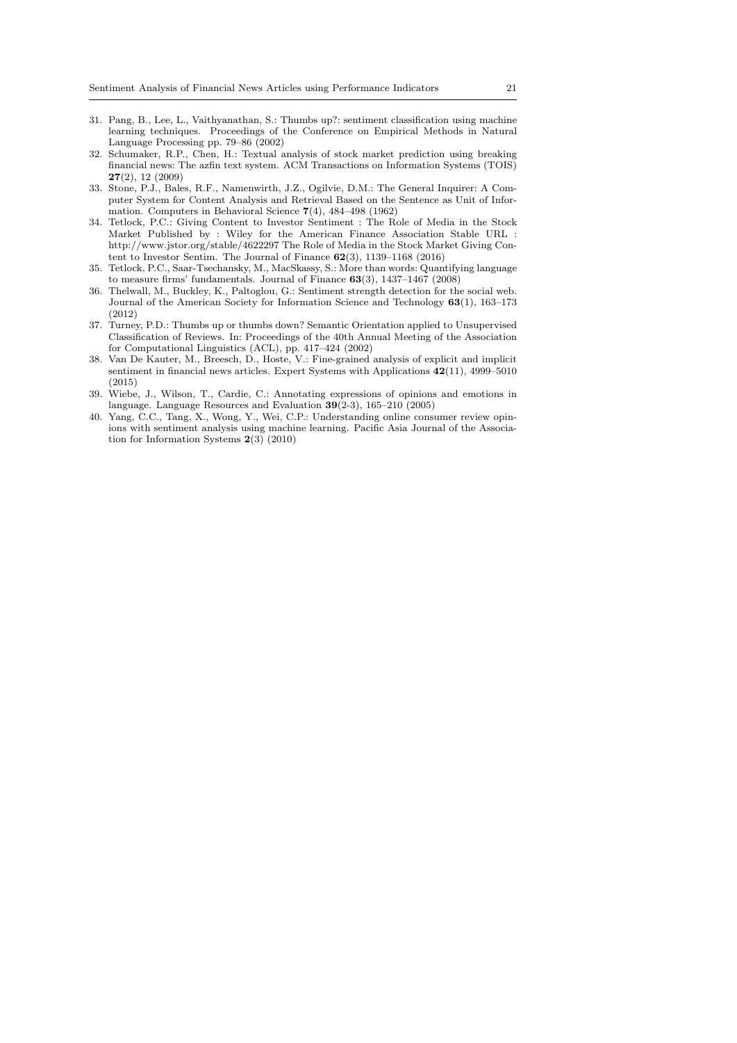- <span id="page-20-0"></span>31. Pang, B., Lee, L., Vaithyanathan, S.: Thumbs up?: sentiment classification using machine learning techniques. Proceedings of the Conference on Empirical Methods in Natural Language Processing pp. 79–86 (2002)
- <span id="page-20-8"></span>32. Schumaker, R.P., Chen, H.: Textual analysis of stock market prediction using breaking financial news: The azfin text system. ACM Transactions on Information Systems (TOIS) 27(2), 12 (2009)
- <span id="page-20-5"></span>33. Stone, P.J., Bales, R.F., Namenwirth, J.Z., Ogilvie, D.M.: The General Inquirer: A Computer System for Content Analysis and Retrieval Based on the Sentence as Unit of Information. Computers in Behavioral Science 7(4), 484–498 (1962)
- <span id="page-20-2"></span>34. Tetlock, P.C.: Giving Content to Investor Sentiment : The Role of Media in the Stock Market Published by : Wiley for the American Finance Association Stable URL : http://www.jstor.org/stable/4622297 The Role of Media in the Stock Market Giving Content to Investor Sentim. The Journal of Finance 62(3), 1139–1168 (2016)
- <span id="page-20-3"></span>35. Tetlock, P.C., Saar-Tsechansky, M., MacSkassy, S.: More than words: Quantifying language to measure firms' fundamentals. Journal of Finance 63(3), 1437–1467 (2008)
- <span id="page-20-7"></span>36. Thelwall, M., Buckley, K., Paltoglou, G.: Sentiment strength detection for the social web. Journal of the American Society for Information Science and Technology 63(1), 163–173 (2012)
- <span id="page-20-1"></span>37. Turney, P.D.: Thumbs up or thumbs down? Semantic Orientation applied to Unsupervised Classification of Reviews. In: Proceedings of the 40th Annual Meeting of the Association for Computational Linguistics (ACL), pp. 417–424 (2002)
- <span id="page-20-4"></span>38. Van De Kauter, M., Breesch, D., Hoste, V.: Fine-grained analysis of explicit and implicit sentiment in financial news articles. Expert Systems with Applications 42(11), 4999–5010 (2015)
- <span id="page-20-6"></span>39. Wiebe, J., Wilson, T., Cardie, C.: Annotating expressions of opinions and emotions in language. Language Resources and Evaluation 39(2-3), 165–210 (2005)
- <span id="page-20-9"></span>40. Yang, C.C., Tang, X., Wong, Y., Wei, C.P.: Understanding online consumer review opinions with sentiment analysis using machine learning. Pacific Asia Journal of the Association for Information Systems 2(3) (2010)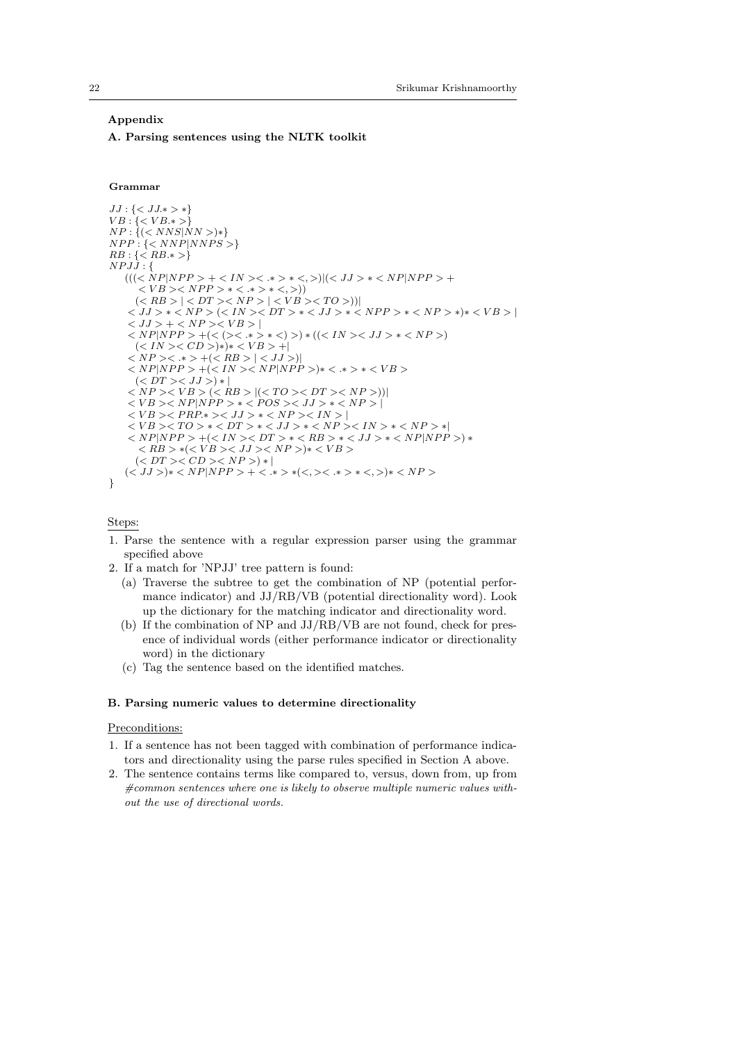### Appendix

A. Parsing sentences using the NLTK toolkit

#### Grammar

 $JJ: \{  *\}$  $VB: \{  \}$  $NP: \{($ )\*}  $NPP$  : {<  $NNP|NNPS$  >}  $RB: \{\}$  $NPJJ$  : {  $(((\langle \overline{NP} | NPP \rangle + \langle \overline{IN} \rangle \langle \langle \overline{S} \rangle + \langle \overline{S} \rangle \langle \langle \overline{S} \rangle + \langle \overline{S} \rangle \langle \overline{S} \rangle \langle \overline{S} \rangle + \langle \overline{S} \rangle \langle \overline{S} \rangle \langle \overline{S} \rangle + \langle \overline{S} \rangle \langle \overline{S} \rangle \langle \overline{S} \rangle \langle \overline{S} \rangle + \langle \overline{S} \rangle \langle \overline{S} \rangle \langle \overline{S} \rangle \langle \overline{S} \rangle \langle \overline{S} \rangle \langle \overline{$  $\langle V B \rangle \langle N P P \rangle * \langle * \rangle * \langle * \rangle$  $(*RB* > | *DT* > *NP* > | *VB* > *TO* >))|$  $<$   $JJ$  >  $*$  <  $NP$  >  $(<$   $IN$  >  $<$   $DT$  >  $*$  <  $JJ$  >  $*$  <  $NPP$  >  $*$  <  $NP$  >  $*$   $*$  <  $VB$  >  $|$  $\langle JJ \rangle + \langle NP \rangle \langle VB \rangle$  $<$   $N P | N P P$  > +(< (>< .\* > \* <) >) \* ((<  $IN$  ><  $JJ$  > \* <  $NP$  >)  $(*IN*>*< CD* >)*)**< VB* > +|$  $\langle NP \rangle \langle * \rangle + (\langle RB \rangle \langle JJ \rangle)$  $<$   $N$ P|NPP > +(< IN ><  $N$ P|NPP >)\* < \* > \* < VB >  $(**D**T><**J**J>)*$  $\langle NP \rangle \langle VB \rangle \langle EB \rangle |(\langle TO \rangle \langle DT \rangle \langle NP \rangle))|$  $\langle V B \rangle \langle N P | N P P \rangle \times \langle P O S \rangle \langle J J \rangle \times \langle NP \rangle$  $\langle V B \rangle \langle PRP^* \rangle \langle JJ \rangle \times \langle NP \rangle \langle IN \rangle$  $~* ~* ~* ~~* ~*$  $<$   $N$ P|NPP > +(< IN ><  $DT$  > \* <  $RB$  > \* <  $JJ$  > \* <  $N$ P|NPP >) \*  $<$  RB > \*(< VB >< JJ >< NP >)\* < VB >  $(**D**T>**)** < (**D**D>**)**  $>$  < **NP )**  $*$  **|**$  $(*JJ*)$  \* <  $NP|NPP> + < *$  \* (<, >< \* > \* <, > )\* <  $NP$  > }

# Steps:

- 1. Parse the sentence with a regular expression parser using the grammar specified above
- 2. If a match for 'NPJJ' tree pattern is found:
	- (a) Traverse the subtree to get the combination of NP (potential performance indicator) and JJ/RB/VB (potential directionality word). Look up the dictionary for the matching indicator and directionality word.
	- (b) If the combination of NP and JJ/RB/VB are not found, check for presence of individual words (either performance indicator or directionality word) in the dictionary
	- (c) Tag the sentence based on the identified matches.

#### B. Parsing numeric values to determine directionality

# Preconditions:

- 1. If a sentence has not been tagged with combination of performance indicators and directionality using the parse rules specified in Section A above.
- 2. The sentence contains terms like compared to, versus, down from, up from #common sentences where one is likely to observe multiple numeric values without the use of directional words.